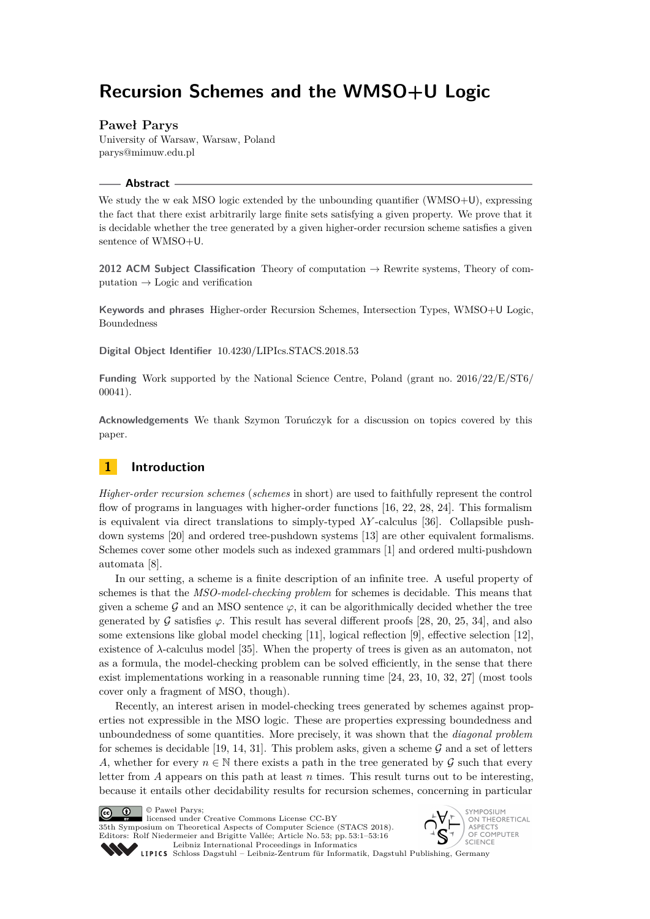# **Recursion Schemes and the WMSO+U Logic**

## **Paweł Parys**

University of Warsaw, Warsaw, Poland [parys@mimuw.edu.pl](mailto:parys@mimuw.edu.pl)

#### **Abstract**

We study the w eak MSO logic extended by the unbounding quantifier (WMSO+U), expressing the fact that there exist arbitrarily large finite sets satisfying a given property. We prove that it is decidable whether the tree generated by a given higher-order recursion scheme satisfies a given sentence of WMSO+U.

**2012 ACM Subject Classification** Theory of computation → Rewrite systems, Theory of computation  $\rightarrow$  Logic and verification

**Keywords and phrases** Higher-order Recursion Schemes, Intersection Types, WMSO+U Logic, Boundedness

**Digital Object Identifier** [10.4230/LIPIcs.STACS.2018.53](http://dx.doi.org/10.4230/LIPIcs.STACS.2018.53)

**Funding** Work supported by the National Science Centre, Poland (grant no. 2016/22/E/ST6/ 00041).

**Acknowledgements** We thank Szymon Toruńczyk for a discussion on topics covered by this paper.

# **1 Introduction**

*Higher-order recursion schemes* (*schemes* in short) are used to faithfully represent the control flow of programs in languages with higher-order functions [\[16,](#page-13-0) [22,](#page-13-1) [28,](#page-14-0) [24\]](#page-14-1). This formalism is equivalent via direct translations to simply-typed  $\lambda Y$ -calculus [\[36\]](#page-14-2). Collapsible pushdown systems [\[20\]](#page-13-2) and ordered tree-pushdown systems [\[13\]](#page-12-0) are other equivalent formalisms. Schemes cover some other models such as indexed grammars [\[1\]](#page-11-0) and ordered multi-pushdown automata [\[8\]](#page-12-1).

In our setting, a scheme is a finite description of an infinite tree. A useful property of schemes is that the *MSO-model-checking problem* for schemes is decidable. This means that given a scheme  $\mathcal G$  and an MSO sentence  $\varphi$ , it can be algorithmically decided whether the tree generated by G satisfies  $\varphi$ . This result has several different proofs [\[28,](#page-14-0) [20,](#page-13-2) [25,](#page-14-3) [34\]](#page-14-4), and also some extensions like global model checking [\[11\]](#page-12-2), logical reflection [\[9\]](#page-12-3), effective selection [\[12\]](#page-12-4), existence of  $\lambda$ -calculus model [\[35\]](#page-14-5). When the property of trees is given as an automaton, not as a formula, the model-checking problem can be solved efficiently, in the sense that there exist implementations working in a reasonable running time [\[24,](#page-14-1) [23,](#page-13-3) [10,](#page-12-5) [32,](#page-14-6) [27\]](#page-14-7) (most tools cover only a fragment of MSO, though).

Recently, an interest arisen in model-checking trees generated by schemes against properties not expressible in the MSO logic. These are properties expressing boundedness and unboundedness of some quantities. More precisely, it was shown that the *diagonal problem* for schemes is decidable [\[19,](#page-13-4) [14,](#page-13-5) [31\]](#page-14-8). This problem asks, given a scheme  $\mathcal G$  and a set of letters *A*, whether for every  $n \in \mathbb{N}$  there exists a path in the tree generated by  $\mathcal G$  such that every letter from *A* appears on this path at least *n* times. This result turns out to be interesting, because it entails other decidability results for recursion schemes, concerning in particular

© Paweł Parys;  $\boxed{6}$  0

licensed under Creative Commons License CC-BY 35th Symposium on Theoretical Aspects of Computer Science (STACS 2018). Editors: Rolf Niedermeier and Brigitte Vallée; Article No. 53; pp. 53:1–53[:16](#page-15-0) [Leibniz International Proceedings in Informatics](http://www.dagstuhl.de/lipics/)



[Schloss Dagstuhl – Leibniz-Zentrum für Informatik, Dagstuhl Publishing, Germany](http://www.dagstuhl.de)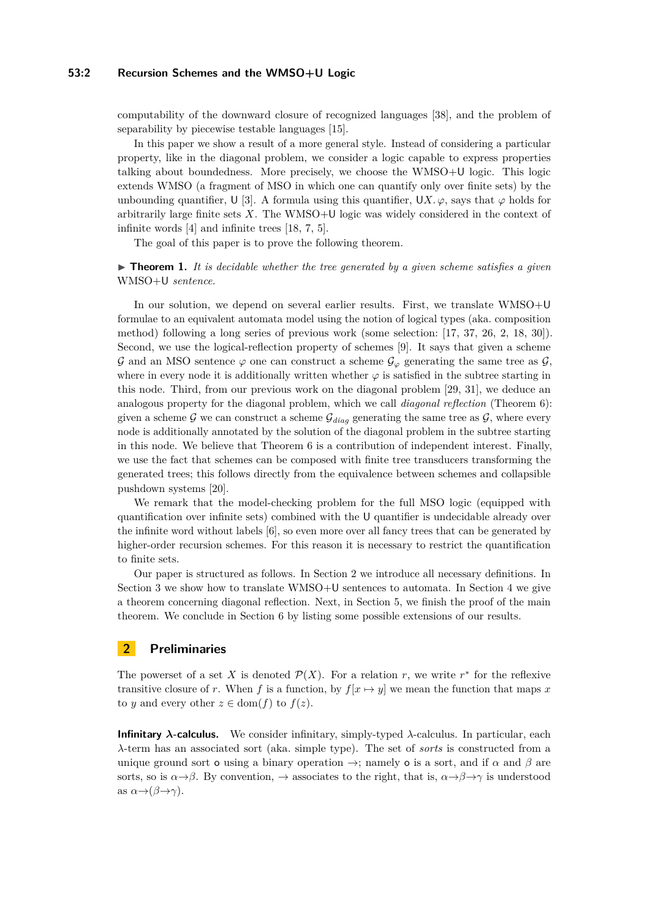#### **53:2 Recursion Schemes and the WMSO+U Logic**

computability of the downward closure of recognized languages [\[38\]](#page-15-1), and the problem of separability by piecewise testable languages [\[15\]](#page-13-6).

In this paper we show a result of a more general style. Instead of considering a particular property, like in the diagonal problem, we consider a logic capable to express properties talking about boundedness. More precisely, we choose the WMSO+U logic. This logic extends WMSO (a fragment of MSO in which one can quantify only over finite sets) by the unbounding quantifier,  $U$  [\[3\]](#page-12-6). A formula using this quantifier,  $UX, \varphi$ , says that  $\varphi$  holds for arbitrarily large finite sets *X*. The WMSO+U logic was widely considered in the context of infinite words [\[4\]](#page-12-7) and infinite trees [\[18,](#page-13-7) [7,](#page-12-8) [5\]](#page-12-9).

The goal of this paper is to prove the following theorem.

<span id="page-1-1"></span> $\triangleright$  **Theorem 1.** It is decidable whether the tree generated by a given scheme satisfies a given WMSO+U *sentence.*

In our solution, we depend on several earlier results. First, we translate WMSO+U formulae to an equivalent automata model using the notion of logical types (aka. composition method) following a long series of previous work (some selection: [\[17,](#page-13-8) [37,](#page-15-2) [26,](#page-14-9) [2,](#page-12-10) [18,](#page-13-7) [30\]](#page-14-10)). Second, we use the logical-reflection property of schemes [\[9\]](#page-12-3). It says that given a scheme  $\mathcal G$  and an MSO sentence  $\varphi$  one can construct a scheme  $\mathcal G_{\varphi}$  generating the same tree as  $\mathcal G$ , where in every node it is additionally written whether  $\varphi$  is satisfied in the subtree starting in this node. Third, from our previous work on the diagonal problem [\[29,](#page-14-11) [31\]](#page-14-8), we deduce an analogous property for the diagonal problem, which we call *diagonal reflection* (Theorem [6\)](#page-7-0): given a scheme  $G$  we can construct a scheme  $G_{diag}$  generating the same tree as  $G$ , where every node is additionally annotated by the solution of the diagonal problem in the subtree starting in this node. We believe that Theorem [6](#page-7-0) is a contribution of independent interest. Finally, we use the fact that schemes can be composed with finite tree transducers transforming the generated trees; this follows directly from the equivalence between schemes and collapsible pushdown systems [\[20\]](#page-13-2).

We remark that the model-checking problem for the full MSO logic (equipped with quantification over infinite sets) combined with the U quantifier is undecidable already over the infinite word without labels [\[6\]](#page-12-11), so even more over all fancy trees that can be generated by higher-order recursion schemes. For this reason it is necessary to restrict the quantification to finite sets.

Our paper is structured as follows. In Section [2](#page-1-0) we introduce all necessary definitions. In Section [3](#page-3-0) we show how to translate WMSO+U sentences to automata. In Section [4](#page-7-1) we give a theorem concerning diagonal reflection. Next, in Section [5,](#page-9-0) we finish the proof of the main theorem. We conclude in Section [6](#page-10-0) by listing some possible extensions of our results.

## <span id="page-1-0"></span>**2 Preliminaries**

The powerset of a set *X* is denoted  $\mathcal{P}(X)$ . For a relation *r*, we write  $r^*$  for the reflexive transitive closure of *r*. When *f* is a function, by  $f[x \mapsto y]$  we mean the function that maps *x* to *y* and every other  $z \in \text{dom}(f)$  to  $f(z)$ .

**Infinitary** *λ***-calculus.** We consider infinitary, simply-typed *λ*-calculus. In particular, each *λ*-term has an associated sort (aka. simple type). The set of *sorts* is constructed from a unique ground sort **o** using a binary operation  $\rightarrow$ ; namely **o** is a sort, and if  $\alpha$  and  $\beta$  are sorts, so is  $\alpha \rightarrow \beta$ . By convention,  $\rightarrow$  associates to the right, that is,  $\alpha \rightarrow \beta \rightarrow \gamma$  is understood as  $\alpha \rightarrow (\beta \rightarrow \gamma)$ .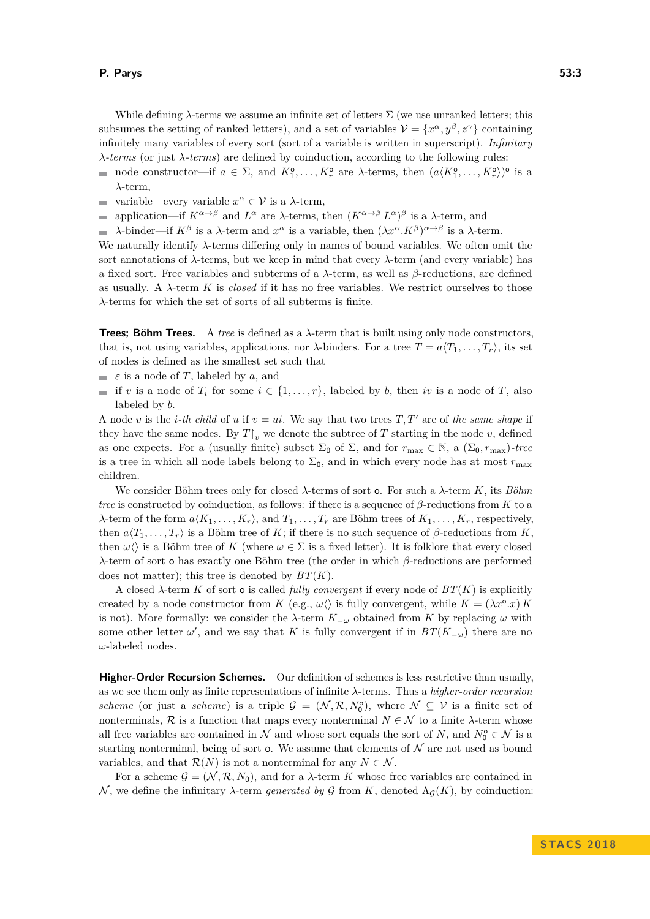While defining  $\lambda$ -terms we assume an infinite set of letters  $\Sigma$  (we use unranked letters; this subsumes the setting of ranked letters), and a set of variables  $\mathcal{V} = \{x^{\alpha}, y^{\beta}, z^{\gamma}\}\)$  containing infinitely many variables of every sort (sort of a variable is written in superscript). *Infinitary λ-terms* (or just *λ-terms*) are defined by coinduction, according to the following rules:

- node constructor—if  $a \in \Sigma$ , and  $K_1^{\circ}, \ldots, K_r^{\circ}$  are  $\lambda$ -terms, then  $(a \langle K_1^{\circ}, \ldots, K_r^{\circ} \rangle)^{\circ}$  is a *λ*-term,
- variable—every variable  $x^{\alpha} \in \mathcal{V}$  is a  $\lambda$ -term,  $\rightarrow$
- application—if  $K^{\alpha \to \beta}$  and  $L^{\alpha}$  are *λ*-terms, then  $(K^{\alpha \to \beta} L^{\alpha})^{\beta}$  is a *λ*-term, and  $\overline{\phantom{0}}$
- *λ*-binder—if  $K^{\beta}$  is a *λ*-term and  $x^{\alpha}$  is a variable, then  $(\lambda x^{\alpha}. K^{\beta})^{\alpha \rightarrow \beta}$  is a *λ*-term.

We naturally identify *λ*-terms differing only in names of bound variables. We often omit the sort annotations of *λ*-terms, but we keep in mind that every *λ*-term (and every variable) has a fixed sort. Free variables and subterms of a *λ*-term, as well as *β*-reductions, are defined as usually. A  $\lambda$ -term K is *closed* if it has no free variables. We restrict ourselves to those *λ*-terms for which the set of sorts of all subterms is finite.

**Trees; Böhm Trees.** A *tree* is defined as a *λ*-term that is built using only node constructors, that is, not using variables, applications, nor  $\lambda$ -binders. For a tree  $T = a \langle T_1, \ldots, T_r \rangle$ , its set of nodes is defined as the smallest set such that

- $\epsilon$  is a node of *T*, labeled by *a*, and
- if *v* is a node of  $T_i$  for some  $i \in \{1, \ldots, r\}$ , labeled by *b*, then *iv* is a node of *T*, also labeled by *b*.

A node *v* is the *i*-th child of *u* if  $v = ui$ . We say that two trees  $T, T'$  are of the same shape if they have the same nodes. By  $T\upharpoonright_v$  we denote the subtree of  $T$  starting in the node  $v$ , defined as one expects. For a (usually finite) subset  $\Sigma_0$  of  $\Sigma$ , and for  $r_{\text{max}} \in \mathbb{N}$ , a  $(\Sigma_0, r_{\text{max}})$ *-tree* is a tree in which all node labels belong to  $\Sigma_0$ , and in which every node has at most  $r_{\text{max}}$ children.

We consider Böhm trees only for closed *λ*-terms of sort o. For such a *λ*-term *K*, its *Böhm tree* is constructed by coinduction, as follows: if there is a sequence of  $\beta$ -reductions from *K* to a *λ*-term of the form  $a\langle K_1, \ldots, K_r \rangle$ , and  $T_1, \ldots, T_r$  are Böhm trees of  $K_1, \ldots, K_r$ , respectively, then  $a\langle T_1, \ldots, T_r \rangle$  is a Böhm tree of *K*; if there is no such sequence of  $\beta$ -reductions from *K*, then  $\omega\langle\rangle$  is a Böhm tree of *K* (where  $\omega \in \Sigma$  is a fixed letter). It is folklore that every closed *λ*-term of sort o has exactly one Böhm tree (the order in which *β*-reductions are performed does not matter); this tree is denoted by *BT*(*K*).

A closed  $\lambda$ -term  $K$  of sort **o** is called *fully convergent* if every node of  $BT(K)$  is explicitly created by a node constructor from *K* (e.g.,  $\omega\langle\rangle$  is fully convergent, while  $K = (\lambda x^{\circ}.x) K$ is not). More formally: we consider the  $\lambda$ -term  $K_{-\omega}$  obtained from K by replacing  $\omega$  with some other letter  $\omega'$ , and we say that *K* is fully convergent if in  $BT(K_{-\omega})$  there are no *ω*-labeled nodes.

**Higher-Order Recursion Schemes.** Our definition of schemes is less restrictive than usually, as we see them only as finite representations of infinite *λ*-terms. Thus a *higher-order recursion scheme* (or just a *scheme*) is a triple  $G = (\mathcal{N}, \mathcal{R}, N_0^{\circ})$ , where  $\mathcal{N} \subseteq \mathcal{V}$  is a finite set of nonterminals,  $\mathcal{R}$  is a function that maps every nonterminal  $N \in \mathcal{N}$  to a finite  $\lambda$ -term whose all free variables are contained in  $N$  and whose sort equals the sort of  $N$ , and  $N_0^{\circ} \in \mathcal{N}$  is a starting nonterminal, being of sort  $\mathbf{o}$ . We assume that elements of  $\mathcal N$  are not used as bound variables, and that  $\mathcal{R}(N)$  is not a nonterminal for any  $N \in \mathcal{N}$ .

For a scheme  $\mathcal{G} = (\mathcal{N}, \mathcal{R}, N_0)$ , and for a  $\lambda$ -term K whose free variables are contained in  $\mathcal{N}$ , we define the infinitary *λ*-term *generated by*  $\mathcal{G}$  from  $K$ , denoted  $\Lambda_{\mathcal{G}}(K)$ , by coinduction: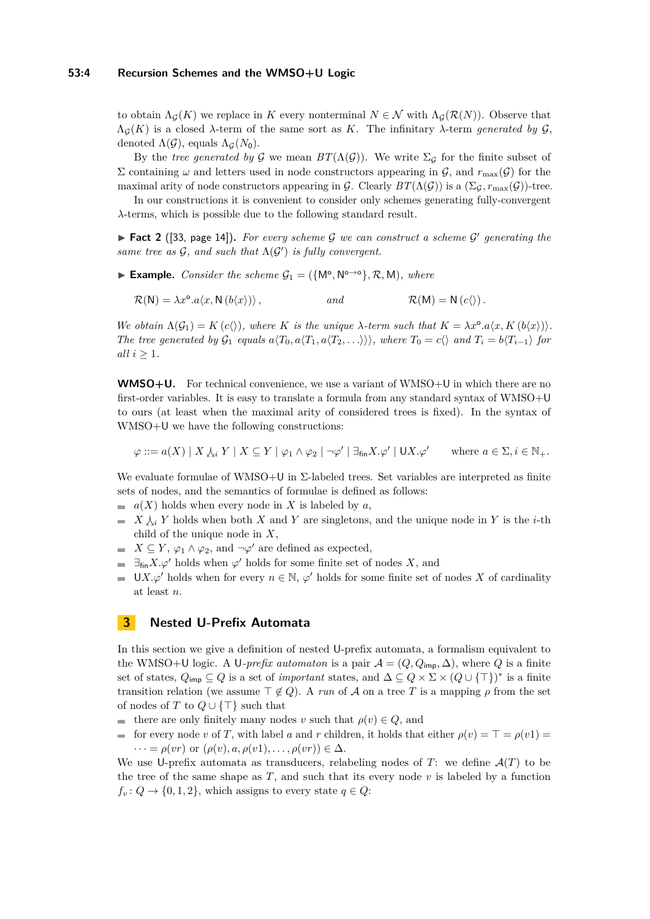to obtain  $\Lambda_{\mathcal{G}}(K)$  we replace in K every nonterminal  $N \in \mathcal{N}$  with  $\Lambda_{\mathcal{G}}(\mathcal{R}(N))$ . Observe that  $Λ<sub>G</sub>(K)$  is a closed  $λ$ -term of the same sort as K. The infinitary  $λ$ -term *generated by*  $G$ , denoted  $\Lambda(\mathcal{G})$ , equals  $\Lambda_{\mathcal{G}}(N_0)$ .

By the *tree generated by* G we mean  $BT(\Lambda(\mathcal{G}))$ . We write  $\Sigma_{\mathcal{G}}$  for the finite subset of Σ containing *ω* and letters used in node constructors appearing in  $G$ , and  $r_{\text{max}}(G)$  for the maximal arity of node constructors appearing in G. Clearly  $BT(\Lambda(\mathcal{G}))$  is a  $(\Sigma_{\mathcal{G}}, r_{\text{max}}(\mathcal{G}))$ -tree.

In our constructions it is convenient to consider only schemes generating fully-convergent *λ*-terms, which is possible due to the following standard result.

<span id="page-3-1"></span>► **Fact 2** ([\[33,](#page-14-12) page 14]). For every scheme G we can construct a scheme G' generating the same tree as  $G$ , and such that  $\Lambda(G')$  is fully convergent.

► **Example.** *Consider the scheme*  $G_1 = (\{M^o, N^{o \to o}\}, \mathcal{R}, M)$ *, where* 

$$
\mathcal{R}(N) = \lambda x^{\circ}.a\langle x, N(b\langle x \rangle) \rangle, \qquad \text{and} \qquad \mathcal{R}(M) = N(c\langle \rangle).
$$

*We obtain*  $\Lambda(\mathcal{G}_1) = K(c)$ *, where K is the unique*  $\lambda$ *-term such that*  $K = \lambda x^{\circ}.a\langle x, K(b\langle x \rangle)\rangle$ *.* The tree generated by  $\mathcal{G}_1$  equals  $a\langle T_0, a\langle T_1, a\langle T_2, \ldots \rangle \rangle$ , where  $T_0 = c\langle a\rangle$  and  $T_i = b\langle T_{i-1} \rangle$  for *all*  $i \geq 1$ *.* 

**WMSO+U.** For technical convenience, we use a variant of WMSO+U in which there are no first-order variables. It is easy to translate a formula from any standard syntax of WMSO+U to ours (at least when the maximal arity of considered trees is fixed). In the syntax of WMSO+U we have the following constructions:

$$
\varphi ::= a(X) | X \downarrow_i Y | X \subseteq Y | \varphi_1 \wedge \varphi_2 | \neg \varphi' | \exists_{\mathsf{fin}} X. \varphi' | \mathsf{U} X. \varphi' \quad \text{where } a \in \Sigma, i \in \mathbb{N}_+.
$$

We evaluate formulae of WMSO+U in  $\Sigma$ -labeled trees. Set variables are interpreted as finite sets of nodes, and the semantics of formulae is defined as follows:

- $a(X)$  holds when every node in X is labeled by  $a$ ,
- $\blacksquare$  *X*  $\lambda_i$  *Y* holds when both *X* and *Y* are singletons, and the unique node in *Y* is the *i*-th child of the unique node in *X*,
- $X \subseteq Y$ ,  $\varphi_1 \wedge \varphi_2$ , and  $\neg \varphi'$  are defined as expected,
- $\exists_{fin} X. \varphi'$  holds when  $\varphi'$  holds for some finite set of nodes X, and
- UX. $\varphi'$  holds when for every  $n \in \mathbb{N}$ ,  $\varphi'$  holds for some finite set of nodes X of cardinality at least *n*.

## <span id="page-3-0"></span>**3 Nested U-Prefix Automata**

In this section we give a definition of nested U-prefix automata, a formalism equivalent to the WMSO+U logic. A U-prefix automaton is a pair  $\mathcal{A} = (Q, Q_{\text{imp}}, \Delta)$ , where Q is a finite set of states,  $Q_{\text{imp}} \subseteq Q$  is a set of *important* states, and  $\Delta \subseteq Q \times \Sigma \times (Q \cup {\{\top\}})^*$  is a finite transition relation (we assume  $\top \notin Q$ ). A *run* of A on a tree T is a mapping  $\rho$  from the set of nodes of *T* to  $Q \cup {\{\top\}}$  such that

- $\blacksquare$  there are only finitely many nodes *v* such that *ρ*(*v*) ∈ *Q*, and
- for every node *v* of *T*, with label *a* and *r* children, it holds that either  $\rho(v) = \top = \rho(v1)$  $\dots = \rho(vr)$  or  $(\rho(v), a, \rho(v1), \dots, \rho(vr)) \in \Delta$ .

We use U-prefix automata as transducers, relabeling nodes of  $T$ : we define  $\mathcal{A}(T)$  to be the tree of the same shape as  $T$ , and such that its every node  $v$  is labeled by a function  $f_v: Q \to \{0, 1, 2\}$ , which assigns to every state  $q \in Q$ :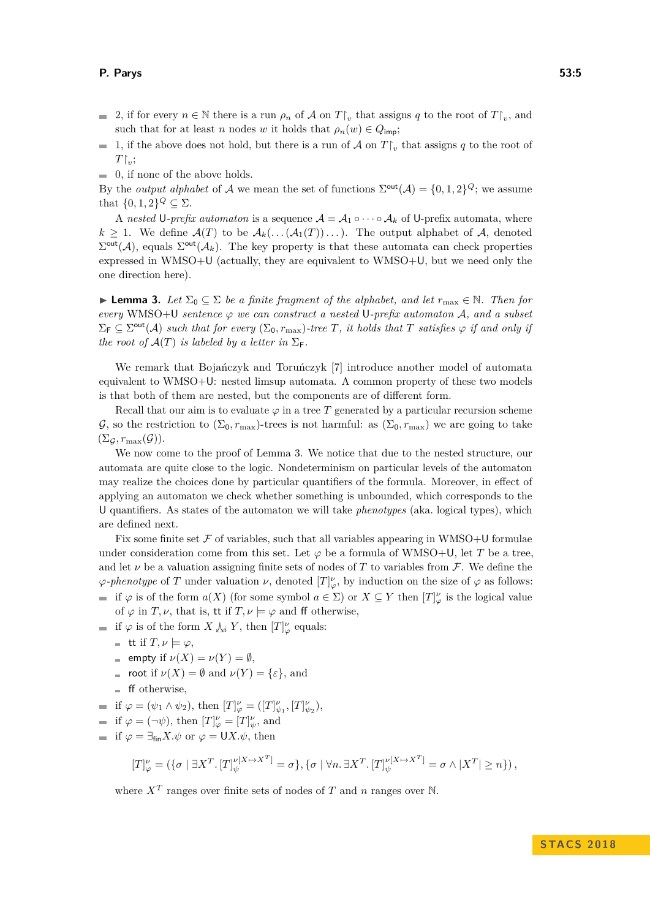- 2, if for every  $n \in \mathbb{N}$  there is a run  $\rho_n$  of A on  $T\vert_v$  that assigns q to the root of  $T\vert_v$ , and such that for at least *n* nodes *w* it holds that  $\rho_n(w) \in Q_{\text{imp}}$ ;
- 1, if the above does not hold, but there is a run of  $\mathcal A$  on  $T\mathcal V_v$  that assigns  $q$  to the root of  $\sim$  $T|_v$ ;
- $\blacksquare$  0, if none of the above holds.

By the *output alphabet* of A we mean the set of functions  $\Sigma^{\text{out}}(A) = \{0, 1, 2\}^Q$ ; we assume that  $\{0,1,2\}^Q \subseteq \Sigma$ .

A *nested* U-prefix automaton is a sequence  $A = A_1 \circ \cdots \circ A_k$  of U-prefix automata, where  $k \geq 1$ . We define  $\mathcal{A}(T)$  to be  $\mathcal{A}_k(\ldots(\mathcal{A}_1(T))\ldots)$ . The output alphabet of  $\mathcal{A}_k$ , denoted  $\Sigma^{\text{out}}(\mathcal{A})$ , equals  $\Sigma^{\text{out}}(\mathcal{A}_k)$ . The key property is that these automata can check properties expressed in WMSO+U (actually, they are equivalent to WMSO+U, but we need only the one direction here).

<span id="page-4-0"></span>**► Lemma 3.** *Let*  $\Sigma_0$   $\subseteq$   $\Sigma$  *be a finite fragment of the alphabet, and let*  $r_{\text{max}} \in \mathbb{N}$ *. Then for*  $every$  WMSO+U *sentence*  $\varphi$  *we can construct a nested* U-prefix automaton A, and a subset  $\Sigma_{\mathsf{F}} \subseteq \Sigma^{\text{out}}(\mathcal{A})$  such that for every  $(\Sigma_0, r_{\max})$ -tree T, it holds that T satisfies  $\varphi$  if and only if *the root of*  $\mathcal{A}(T)$  *is labeled by a letter in*  $\Sigma$ <sub>F</sub>.

We remark that Bojańczyk and Toruńczyk [\[7\]](#page-12-8) introduce another model of automata equivalent to WMSO+U: nested limsup automata. A common property of these two models is that both of them are nested, but the components are of different form.

Recall that our aim is to evaluate  $\varphi$  in a tree *T* generated by a particular recursion scheme  $\mathcal{G}$ , so the restriction to  $(\Sigma_0, r_{\max})$ -trees is not harmful: as  $(\Sigma_0, r_{\max})$  we are going to take  $(\Sigma_{\mathcal{G}}, r_{\max}(\mathcal{G})).$ 

We now come to the proof of Lemma [3.](#page-4-0) We notice that due to the nested structure, our automata are quite close to the logic. Nondeterminism on particular levels of the automaton may realize the choices done by particular quantifiers of the formula. Moreover, in effect of applying an automaton we check whether something is unbounded, which corresponds to the U quantifiers. As states of the automaton we will take *phenotypes* (aka. logical types), which are defined next.

Fix some finite set  $\mathcal F$  of variables, such that all variables appearing in WMSO+U formulae under consideration come from this set. Let  $\varphi$  be a formula of WMSO+U, let *T* be a tree. and let  $\nu$  be a valuation assigning finite sets of nodes of T to variables from F. We define the  $\varphi$ -phenotype of *T* under valuation *ν*, denoted  $[T]_{\varphi}^{\nu}$ , by induction on the size of  $\varphi$  as follows: if  $\varphi$  is of the form  $a(X)$  (for some symbol  $a \in \Sigma$ ) or  $X \subseteq Y$  then  $[T]^{\nu}_{\varphi}$  is the logical value

of  $\varphi$  in *T*,  $\nu$ , that is, **tt** if *T*,  $\nu \models \varphi$  and ff otherwise,

if  $\varphi$  is of the form  $X \downarrow_i Y$ , then  $[T]_{\varphi}^{\nu}$  equals:

- $=$  **tt** if  $T, \nu \models \varphi,$
- $=$  empty if  $\nu(X) = \nu(Y) = \emptyset$ ,
- $\bullet$  root if  $\nu(X) = \emptyset$  and  $\nu(Y) = {\varepsilon},$  and
- $\blacksquare$  ff otherwise,
- if  $\varphi = (\psi_1 \wedge \psi_2)$ , then  $[T]_{\varphi}^{\nu} = ([T]_{\psi_1}^{\nu}, [T]_{\psi_2}^{\nu}),$
- if  $\varphi = (\neg \psi)$ , then  $[T]_{\varphi}^{\nu} = [T]_{\psi}^{\nu}$ , and
- if  $\varphi = \exists_{\text{fin}} X. \psi$  or  $\varphi = \bigcup X. \psi$ , then

$$
[T]^\nu_\varphi=\left(\{\sigma\mid \exists X^T.\, [T]^{ \nu[X\mapsto X^T]}_\psi=\sigma\}, \{\sigma\mid \forall n.\, \exists X^T.\, [T]^{ \nu[X\mapsto X^T]}_\psi=\sigma \wedge |X^T|\geq n\}\right),
$$

where  $X^T$  ranges over finite sets of nodes of  $T$  and  $n$  ranges over  $\mathbb N$ .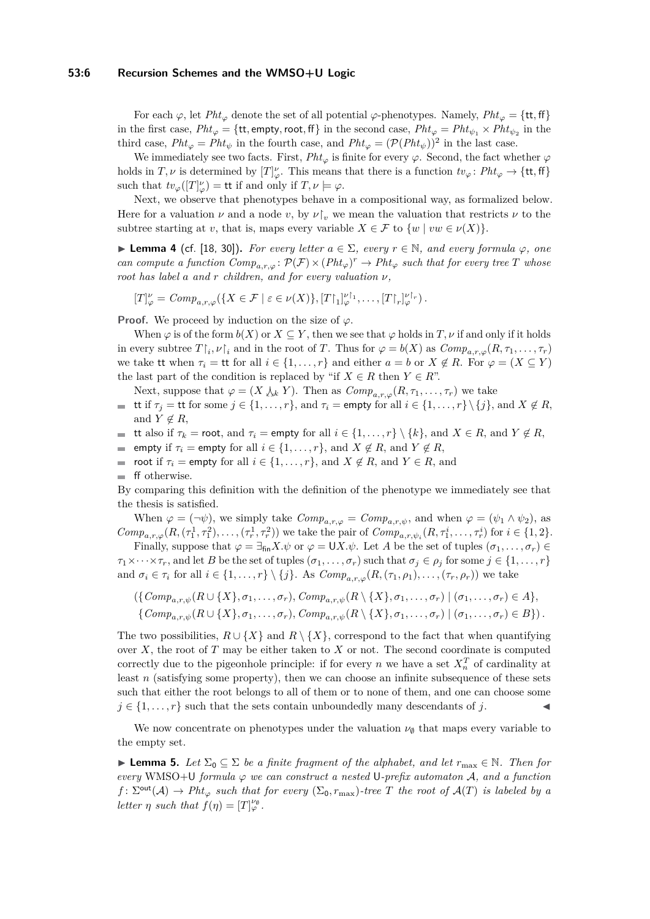#### **53:6 Recursion Schemes and the WMSO+U Logic**

For each  $\varphi$ , let *Pht*<sub> $\varphi$ </sub> denote the set of all potential  $\varphi$ -phenotypes. Namely, *Pht*<sub> $\varphi$ </sub> = {tt, ff} in the first case,  $Pht_{\varphi} = \{ \text{tt}, \text{empty}, \text{root}, \text{ff} \}$  in the second case,  $Pht_{\varphi} = Pht_{\psi_1} \times Pht_{\psi_2}$  in the third case,  $Pht_{\varphi} = Pht_{\psi}$  in the fourth case, and  $Pht_{\varphi} = (\mathcal{P}(Pht_{\psi}))^2$  in the last case.

We immediately see two facts. First,  $Pht_{\varphi}$  is finite for every  $\varphi$ . Second, the fact whether  $\varphi$ holds in  $T, \nu$  is determined by  $[T]_{\varphi}^{\nu}$ . This means that there is a function  $tv_{\varphi} \colon Pht_{\varphi} \to \{\text{tt}, \text{ff}\}\$ such that  $tv_{\varphi}([T]_{\varphi}^{\nu}) = \mathsf{tt}$  if and only if  $T, \nu \models \varphi$ .

Next, we observe that phenotypes behave in a compositional way, as formalized below. Here for a valuation *ν* and a node *v*, by  $\nu|_v$  we mean the valuation that restricts  $\nu$  to the subtree starting at *v*, that is, maps every variable  $X \in \mathcal{F}$  to  $\{w \mid vw \in \nu(X)\}.$ 

<span id="page-5-0"></span> $▶$  **Lemma 4** (cf. [\[18,](#page-13-7) [30\]](#page-14-10)). *For every letter*  $a \in \Sigma$ *, every*  $r \in \mathbb{N}$ *, and every formula*  $\varphi$ *, one can compute a function*  $Comp_{a,r,\varphi} : \mathcal{P}(\mathcal{F}) \times (Pht_{\varphi})^r \to Pht_{\varphi}$  such that for every tree T whose *root has label a and r children, and for every valuation ν,*

$$
[T]_{\varphi}^{\nu} = Comp_{a,r,\varphi}(\{X \in \mathcal{F} \mid \varepsilon \in \nu(X)\}, [T \upharpoonright_1]_{\varphi}^{\nu \upharpoonright_1}, \ldots, [T \upharpoonright_r]_{\varphi}^{\nu \upharpoonright_r} ).
$$

**Proof.** We proceed by induction on the size of  $\varphi$ .

When  $\varphi$  is of the form  $b(X)$  or  $X \subseteq Y$ , then we see that  $\varphi$  holds in  $T, \nu$  if and only if it holds in every subtree  $T\upharpoonright_i \nu \upharpoonright_i$  and in the root of *T*. Thus for  $\varphi = b(X)$  as  $Comp_{a,r,\varphi}(R,\tau_1,\ldots,\tau_r)$ we take tt when  $\tau_i =$  tt for all  $i \in \{1, ..., r\}$  and either  $a = b$  or  $X \notin R$ . For  $\varphi = (X \subseteq Y)$ the last part of the condition is replaced by "if  $X \in R$  then  $Y \in R$ ".

Next, suppose that  $\varphi = (X \downarrow_k Y)$ . Then as  $Comp_{a,r,\varphi}(R,\tau_1,\ldots,\tau_r)$  we take

- tt if  $\tau_j =$  tt for some  $j \in \{1, ..., r\}$ , and  $\tau_i =$  empty for all  $i \in \{1, ..., r\} \setminus \{j\}$ , and  $X \notin R$ , m. and  $Y \notin R$ ,
- **■** tt also if  $\tau_k$  = root, and  $\tau_i$  = empty for all  $i \in \{1, \ldots, r\} \setminus \{k\}$ , and  $X \in R$ , and  $Y \notin R$ ,
- empty if  $\tau_i$  = empty for all  $i \in \{1, \ldots, r\}$ , and  $X \notin R$ , and  $Y \notin R$ ,  $\blacksquare$
- **■** root if  $\tau_i$  = empty for all  $i \in \{1, \ldots, r\}$ , and  $X \notin R$ , and  $Y \in R$ , and
- ff otherwise.

By comparing this definition with the definition of the phenotype we immediately see that the thesis is satisfied.

When  $\varphi = (\neg \psi)$ , we simply take  $Comp_{a,r,\varphi} = Comp_{a,r,\psi}$ , and when  $\varphi = (\psi_1 \wedge \psi_2)$ , as  $Comp_{a,r,\varphi}(R,(\tau_1^1,\tau_1^2),\ldots,(\tau_r^1,\tau_r^2))$  we take the pair of  $Comp_{a,r,\psi_i}(R,\tau_1^i,\ldots,\tau_r^i)$  for  $i \in \{1,2\}$ .

Finally, suppose that  $\varphi = \exists_{fin} X.\psi$  or  $\varphi = \bigcup X.\psi$ . Let *A* be the set of tuples  $(\sigma_1, \ldots, \sigma_r) \in$  $\tau_1 \times \cdots \times \tau_r$ , and let *B* be the set of tuples  $(\sigma_1, \ldots, \sigma_r)$  such that  $\sigma_j \in \rho_j$  for some  $j \in \{1, \ldots, r\}$ and  $\sigma_i \in \tau_i$  for all  $i \in \{1, \ldots, r\} \setminus \{j\}$ . As  $Comp_{a,r,\varphi}(R,(\tau_1,\rho_1),\ldots,(\tau_r,\rho_r))$  we take

$$
(\{Comp_{a,r,\psi}(R\cup\{X\},\sigma_1,\ldots,\sigma_r),Comp_{a,r,\psi}(R\setminus\{X\},\sigma_1,\ldots,\sigma_r)\mid (\sigma_1,\ldots,\sigma_r)\in A\},\
$$
  

$$
\{Comp_{a,r,\psi}(R\cup\{X\},\sigma_1,\ldots,\sigma_r),Comp_{a,r,\psi}(R\setminus\{X\},\sigma_1,\ldots,\sigma_r)\mid (\sigma_1,\ldots,\sigma_r)\in B\}).
$$

The two possibilities,  $R \cup \{X\}$  and  $R \setminus \{X\}$ , correspond to the fact that when quantifying over *X*, the root of *T* may be either taken to *X* or not. The second coordinate is computed correctly due to the pigeonhole principle: if for every *n* we have a set  $X_n^T$  of cardinality at least *n* (satisfying some property), then we can choose an infinite subsequence of these sets such that either the root belongs to all of them or to none of them, and one can choose some  $j \in \{1, \ldots, r\}$  such that the sets contain unboundedly many descendants of *j*.

We now concentrate on phenotypes under the valuation  $\nu_{\emptyset}$  that maps every variable to the empty set.

<span id="page-5-1"></span>**► Lemma 5.** Let  $\Sigma_0 \subseteq \Sigma$  be a finite fragment of the alphabet, and let  $r_{\text{max}} \in \mathbb{N}$ . Then for  $every$  WMSO+U *formula*  $\varphi$  *we can construct a nested* U-prefix automaton A, and a function  $f: \Sigma^{\text{out}}(\mathcal{A}) \to \text{Pht}_{\varphi}$  *such that for every*  $(\Sigma_0, r_{\max})$ -tree *T* the root of  $\mathcal{A}(T)$  is labeled by a *letter*  $\eta$  *such that*  $f(\eta) = [T]_{\varphi}^{\nu_{\emptyset}}$ .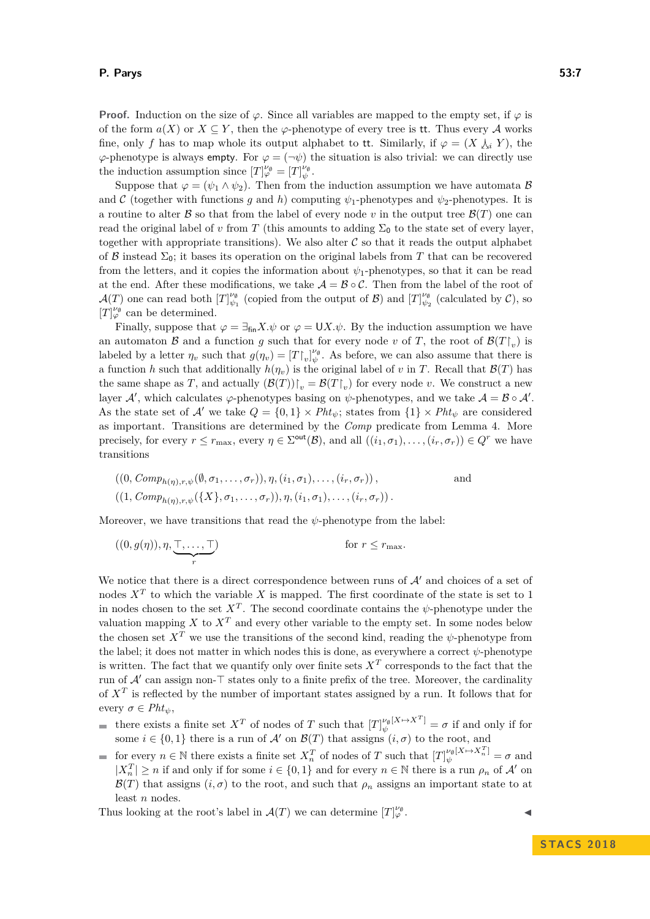**Proof.** Induction on the size of  $\varphi$ . Since all variables are mapped to the empty set, if  $\varphi$  is of the form  $a(X)$  or  $X \subseteq Y$ , then the  $\varphi$ -phenotype of every tree is tt. Thus every A works fine, only f has to map whole its output alphabet to tt. Similarly, if  $\varphi = (X \setminus i, Y)$ , the  $\varphi$ -phenotype is always empty. For  $\varphi = (\neg \psi)$  the situation is also trivial: we can directly use the induction assumption since  $[T]_{\varphi}^{\nu_{\emptyset}} = [T]_{\psi}^{\nu_{\emptyset}}$ .

Suppose that  $\varphi = (\psi_1 \wedge \psi_2)$ . Then from the induction assumption we have automata B and C (together with functions *g* and *h*) computing  $\psi_1$ -phenotypes and  $\psi_2$ -phenotypes. It is a routine to alter  $\mathcal B$  so that from the label of every node  $v$  in the output tree  $\mathcal B(T)$  one can read the original label of *v* from *T* (this amounts to adding  $\Sigma_0$  to the state set of every layer, together with appropriate transitions). We also alter  $C$  so that it reads the output alphabet of B instead  $\Sigma_0$ ; it bases its operation on the original labels from T that can be recovered from the letters, and it copies the information about *ψ*1-phenotypes, so that it can be read at the end. After these modifications, we take  $\mathcal{A} = \mathcal{B} \circ \mathcal{C}$ . Then from the label of the root of  $\mathcal{A}(T)$  one can read both  $[T]_{\psi_1}^{\nu_\emptyset}$  (copied from the output of  $\mathcal{B})$  and  $[T]_{\psi_2}^{\nu_\emptyset}$  (calculated by  $\mathcal{C}$ ), so  $[T]_{\varphi}^{\nu_{\emptyset}}$  can be determined.

Finally, suppose that  $\varphi = \exists_{\text{fin}} X. \psi$  or  $\varphi = \bigcup X. \psi$ . By the induction assumption we have an automaton  $\mathcal{B}$  and a function  $g$  such that for every node  $v$  of  $T$ , the root of  $\mathcal{B}(T|_v)$  is labeled by a letter  $\eta_v$  such that  $g(\eta_v) = [T \gamma_v]_{\psi}^{\nu_{\emptyset}}$ . As before, we can also assume that there is a function *h* such that additionally  $h(\eta_v)$  is the original label of *v* in *T*. Recall that  $\mathcal{B}(T)$  has the same shape as *T*, and actually  $(\mathcal{B}(T))|_{v} = \mathcal{B}(T|_{v})$  for every node *v*. We construct a new layer  $\mathcal{A}'$ , which calculates  $\varphi$ -phenotypes basing on  $\psi$ -phenotypes, and we take  $\mathcal{A} = \mathcal{B} \circ \mathcal{A}'$ . As the state set of A' we take  $Q = \{0,1\} \times Pht_{\psi}$ ; states from  $\{1\} \times Pht_{\psi}$  are considered as important. Transitions are determined by the *Comp* predicate from Lemma [4.](#page-5-0) More precisely, for every  $r \leq r_{\text{max}}$ , every  $\eta \in \Sigma^{\text{out}}(\mathcal{B})$ , and all  $((i_1, \sigma_1), \ldots, (i_r, \sigma_r)) \in Q^r$  we have transitions

$$
((0, Comp_{h(\eta), r, \psi}(\emptyset, \sigma_1, \dots, \sigma_r)), \eta, (i_1, \sigma_1), \dots, (i_r, \sigma_r)),
$$
  
and  

$$
((1, Comp_{h(\eta), r, \psi}(\{X\}, \sigma_1, \dots, \sigma_r)), \eta, (i_1, \sigma_1), \dots, (i_r, \sigma_r)).
$$

Moreover, we have transitions that read the *ψ*-phenotype from the label:

$$
((0, g(\eta)), \eta, \underbrace{\top, \dots, \top}_{r}) \qquad \qquad \text{for } r \leq r_{\text{max}}.
$$

We notice that there is a direct correspondence between runs of  $\mathcal{A}'$  and choices of a set of nodes *X<sup>T</sup>* to which the variable *X* is mapped. The first coordinate of the state is set to 1 in nodes chosen to the set  $X<sup>T</sup>$ . The second coordinate contains the  $\psi$ -phenotype under the valuation mapping *X* to  $X<sup>T</sup>$  and every other variable to the empty set. In some nodes below the chosen set  $X^T$  we use the transitions of the second kind, reading the  $\psi$ -phenotype from the label; it does not matter in which nodes this is done, as everywhere a correct  $\psi$ -phenotype is written. The fact that we quantify only over finite sets  $X<sup>T</sup>$  corresponds to the fact that the run of  $A'$  can assign non- $\top$  states only to a finite prefix of the tree. Moreover, the cardinality of *X<sup>T</sup>* is reflected by the number of important states assigned by a run. It follows that for every  $\sigma \in Pht_{\psi}$ ,

- there exists a finite set  $X^T$  of nodes of *T* such that  $[T]_{\psi}^{\nu_{\emptyset}[X \mapsto X^T]} = \sigma$  if and only if for some  $i \in \{0,1\}$  there is a run of A' on  $\mathcal{B}(T)$  that assigns  $(i, \sigma)$  to the root, and
- for every  $n \in \mathbb{N}$  there exists a finite set  $X_n^T$  of nodes of *T* such that  $[T]_{\psi}^{\nu_{\emptyset}[X \mapsto X_n^T]} = \sigma$  and  $|X_n^T| \ge n$  if and only if for some  $i \in \{0,1\}$  and for every  $n \in \mathbb{N}$  there is a run  $\rho_n$  of A' on  $\mathcal{B}(T)$  that assigns  $(i, \sigma)$  to the root, and such that  $\rho_n$  assigns an important state to at least *n* nodes.

Thus looking at the root's label in  $\mathcal{A}(T)$  we can determine  $[T]_{\varphi}^{\nu_{\phi}}$  $\frac{\nu_{\emptyset}}{\varphi}$  .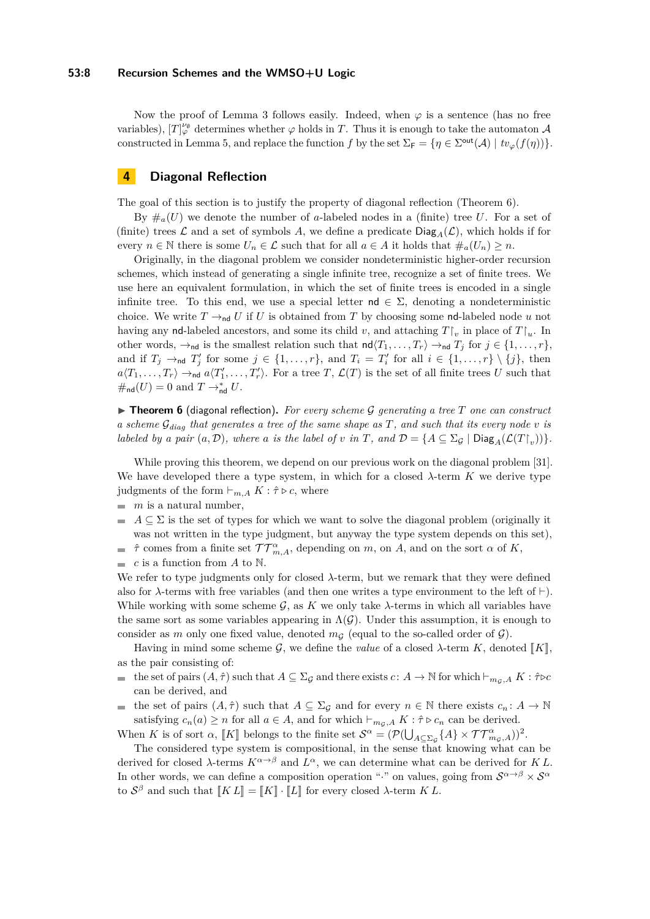#### **53:8 Recursion Schemes and the WMSO+U Logic**

Now the proof of Lemma [3](#page-4-0) follows easily. Indeed, when  $\varphi$  is a sentence (has no free variables),  $[T]_{\varphi}^{\nu_{\emptyset}}$  determines whether  $\varphi$  holds in *T*. Thus it is enough to take the automaton  $\mathcal A$ constructed in Lemma [5,](#page-5-1) and replace the function *f* by the set  $\Sigma_F = \{ \eta \in \Sigma^{\text{out}}(\mathcal{A}) \mid tv_{\varphi}(f(\eta)) \}.$ 

## <span id="page-7-1"></span>**4 Diagonal Reflection**

The goal of this section is to justify the property of diagonal reflection (Theorem [6\)](#page-7-0).

By  $\#_a(U)$  we denote the number of *a*-labeled nodes in a (finite) tree U. For a set of (finite) trees  $\mathcal L$  and a set of symbols A, we define a predicate  $Diag_A(\mathcal L)$ , which holds if for every  $n \in \mathbb{N}$  there is some  $U_n \in \mathcal{L}$  such that for all  $a \in A$  it holds that  $\#_a(U_n) \geq n$ .

Originally, in the diagonal problem we consider nondeterministic higher-order recursion schemes, which instead of generating a single infinite tree, recognize a set of finite trees. We use here an equivalent formulation, in which the set of finite trees is encoded in a single infinite tree. To this end, we use a special letter  $\mathsf{nd} \in \Sigma$ , denoting a nondeterministic choice. We write  $T \rightarrow_{\text{nd}} U$  if U is obtained from T by choosing some nd-labeled node u not having any nd-labeled ancestors, and some its child *v*, and attaching  $T\vert_v$  in place of  $T\vert_u$ . In other words,  $\rightarrow_{\text{nd}}$  is the smallest relation such that  $\text{nd}\langle T_1, \ldots, T_r \rangle \rightarrow_{\text{nd}} T_j$  for  $j \in \{1, \ldots, r\}$ , and if  $T_j \rightarrow_{\text{nd}} T'_j$  for some  $j \in \{1, ..., r\}$ , and  $T_i = T'_i$  for all  $i \in \{1, ..., r\} \setminus \{j\}$ , then  $a\langle T_1,\ldots,T_r\rangle \rightarrow_{\text{nd}} a\langle T'_1,\ldots,T'_r\rangle$ . For a tree *T*,  $\mathcal{L}(T)$  is the set of all finite trees *U* such that  $\#_{\mathsf{nd}}(U) = 0$  and  $T \to_{\mathsf{nd}}^* U$ .

<span id="page-7-0"></span>▶ Theorem 6 (diagonal reflection). For every scheme G generating a tree T one can construct *a scheme* G*diag that generates a tree of the same shape as T, and such that its every node v is labeled by a pair*  $(a, D)$ *, where a is the label of v in T, and*  $D = \{A \subseteq \Sigma_{\mathcal{G}} \mid \text{Diag}_{A}(\mathcal{L}(T|_{v}))\}.$ 

While proving this theorem, we depend on our previous work on the diagonal problem [\[31\]](#page-14-8). We have developed there a type system, in which for a closed *λ*-term *K* we derive type judgments of the form  $\vdash_{m,A} K : \hat{\tau} \triangleright c$ , where

- $\blacksquare$  *m* is a natural number,
- $A \subseteq \Sigma$  is the set of types for which we want to solve the diagonal problem (originally it  $\blacksquare$ was not written in the type judgment, but anyway the type system depends on this set),
- *τ*<sup>2</sup> comes from a finite set  $TT^{\alpha}_{m,A}$ , depending on *m*, on *A*, and on the sort *α* of *K*,  $\equiv$
- *c* is a function from *A* to N. m.

We refer to type judgments only for closed  $\lambda$ -term, but we remark that they were defined also for  $\lambda$ -terms with free variables (and then one writes a type environment to the left of  $\vdash$ ). While working with some scheme  $\mathcal{G}$ , as  $K$  we only take  $\lambda$ -terms in which all variables have the same sort as some variables appearing in  $\Lambda(G)$ . Under this assumption, it is enough to consider as *m* only one fixed value, denoted  $m<sub>G</sub>$  (equal to the so-called order of  $\mathcal{G}$ ).

Having in mind some scheme G, we define the *value* of a closed  $\lambda$ -term K, denoted  $\llbracket K \rrbracket$ , as the pair consisting of:

- the set of pairs  $(A, \hat{\tau})$  such that  $A \subseteq \Sigma_{\mathcal{G}}$  and there exists  $c \colon A \to \mathbb{N}$  for which  $\vdash_{m_{\mathcal{G}}, A} K : \hat{\tau} \triangleright c$ can be derived, and
- the set of pairs  $(A, \hat{\tau})$  such that  $A \subseteq \Sigma_{\mathcal{G}}$  and for every  $n \in \mathbb{N}$  there exists  $c_n : A \to \mathbb{N}$  $\mathcal{L}_{\mathcal{A}}$ satisfying  $c_n(a) \geq n$  for all  $a \in A$ , and for which  $\vdash_{m_{\mathcal{G}},A} K : \hat{\tau} \triangleright c_n$  can be derived.

When *K* is of sort *α*,  $[K]$  belongs to the finite set  $S^{\alpha} = (\mathcal{P}(\bigcup_{A \subseteq \Sigma_{\mathcal{G}}}\{A\} \times \mathcal{TT}^{\alpha}_{m_{\mathcal{G}},A}))^2$ .

The considered type system is compositional, in the sense that knowing what can be derived for closed  $\lambda$ -terms  $K^{\alpha \to \beta}$  and  $L^{\alpha}$ , we can determine what can be derived for *KL*. In other words, we can define a composition operation "·" on values, going from  $S^{\alpha \to \beta} \times S^{\alpha}$ to  $S^{\beta}$  and such that  $[[KL]] = [[K]] \cdot [[L]]$  for every closed  $\lambda$ -term  $KL$ .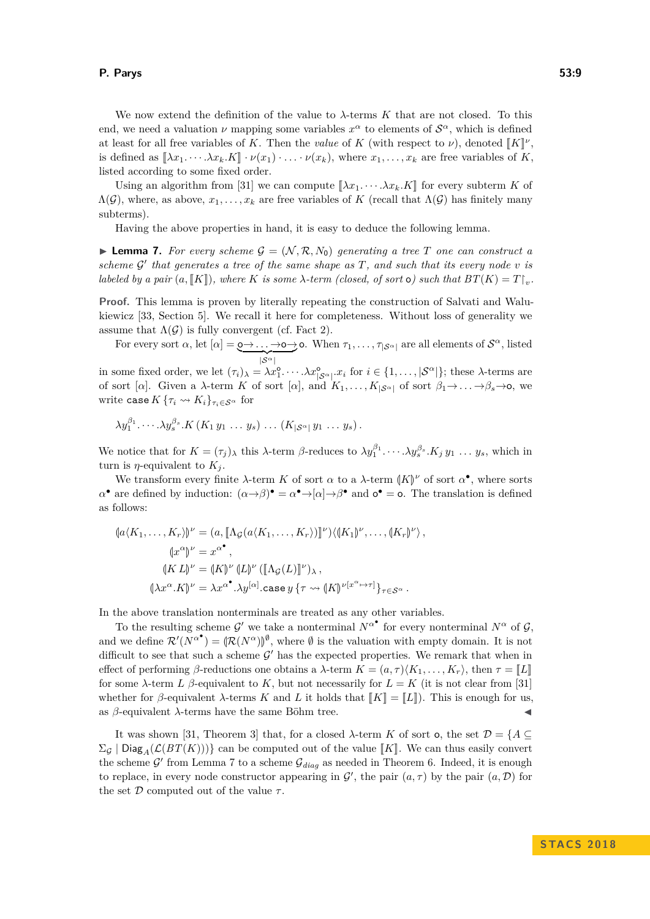We now extend the definition of the value to *λ*-terms *K* that are not closed. To this end, we need a valuation  $\nu$  mapping some variables  $x^{\alpha}$  to elements of  $S^{\alpha}$ , which is defined at least for all free variables of *K*. Then the *value* of *K* (with respect to *ν*), denoted  $[[K]]^{\nu}$ , is defined as  $[X]^{\nu}$ ,  $K^{\nu}$ ,  $V(x)$ , where  $x$ ,  $x$ , are free variables of *K*. is defined as  $[\![\lambda x_1 \cdots \lambda x_k \cdot K]\!] \cdot \nu(x_1) \cdot \ldots \cdot \nu(x_k)$ , where  $x_1, \ldots, x_k$  are free variables of *K*, listed according to some fixed order.

Using an algorithm from [\[31\]](#page-14-8) we can compute  $\llbracket \lambda x_1, \dots, \lambda x_k, K \rrbracket$  for every subterm K of  $\Lambda(G)$ , where, as above,  $x_1, \ldots, x_k$  are free variables of K (recall that  $\Lambda(G)$ ) has finitely many subterms).

Having the above properties in hand, it is easy to deduce the following lemma.

<span id="page-8-0"></span>**Lemma 7.** For every scheme  $\mathcal{G} = (\mathcal{N}, \mathcal{R}, N_0)$  generating a tree T one can construct a scheme  $G'$  that generates a tree of the same shape as  $T$ , and such that its every node  $v$  is *labeled by a pair*  $(a, [K])$ *, where K is some*  $\lambda$ *-term (closed, of sort* **o**) such that  $BT(K) = T|_v$ *.* 

**Proof.** This lemma is proven by literally repeating the construction of Salvati and Walukiewicz [\[33,](#page-14-12) Section 5]. We recall it here for completeness. Without loss of generality we assume that  $\Lambda(\mathcal{G})$  is fully convergent (cf. Fact [2\)](#page-3-1).

For every sort  $\alpha$ , let  $[\alpha] = \underbrace{\mathbf{0} \rightarrow \ldots \rightarrow \mathbf{0} \rightarrow \mathbf{0}}$ . When  $\tau_1, \ldots, \tau_{|\mathcal{S}^{\alpha}|}$  are all elements of  $\mathcal{S}^{\alpha}$ , listed |S*α*|

in some fixed order, we let  $(\tau_i)_{\lambda} = \lambda x_1^{\circ} \cdots \lambda x_{|\mathcal{S}^{\alpha}|}^{\circ} x_i$  for  $i \in \{1, \ldots, |\mathcal{S}^{\alpha}|\}$ ; these  $\lambda$ -terms are of sort [ $\alpha$ ]. Given a *λ*-term *K* of sort [ $\alpha$ ], and  $K_1, \ldots, K_{|\mathcal{S}^{\alpha}|}$  of sort  $\beta_1 \rightarrow \ldots \rightarrow \beta_s \rightarrow \infty$ , we write case  $K\{\tau_i \leadsto K_i\}_{\tau_i \in S^\alpha}$  for

$$
\lambda y_1^{\beta_1} \cdots \lambda y_s^{\beta_s} \cdot K\left(K_1 y_1 \ldots y_s\right) \ldots \left(K_{|\mathcal{S}^{\alpha}|} y_1 \ldots y_s\right).
$$

We notice that for  $K = (\tau_j)_\lambda$  this  $\lambda$ -term  $\beta$ -reduces to  $\lambda y_1^{\beta_1} \cdots \lambda y_s^{\beta_s}$ .  $K_j y_1 \cdots y_s$ , which in turn is *η*-equivalent to  $K_i$ .

We transform every finite  $\lambda$ -term  $K$  of sort  $\alpha$  to a  $\lambda$ -term  $\langle K \rangle^{\nu}$  of sort  $\alpha^{\bullet}$ , where sorts  $\alpha^{\bullet}$  are defined by induction:  $(\alpha \rightarrow \beta)^{\bullet} = \alpha^{\bullet} \rightarrow [\alpha] \rightarrow \beta^{\bullet}$  and  $\alpha^{\bullet} = \mathsf{o}$ . The translation is defined as follows:

$$
\langle [a\langle K_1, \dots, K_r \rangle] \rangle^{\nu} = (a, [\![ \Lambda_{\mathcal{G}}(a\langle K_1, \dots, K_r \rangle) ]\!]^{\nu}) \langle ([K_1] \rangle^{\nu}, \dots, ([K_r] \rangle^{\nu}),
$$
  
\n
$$
\langle [x^{\alpha}] \rangle^{\nu} = x^{\alpha^{\bullet}},
$$
  
\n
$$
\langle [K L] \rangle^{\nu} = ([K] \rangle^{\nu} ([L] \rangle^{\nu} ([\![ \Lambda_{\mathcal{G}}(L) ]\!]^{\nu}),
$$
  
\n
$$
\langle [\lambda x^{\alpha}.K] \rangle^{\nu} = \lambda x^{\alpha^{\bullet}}.\lambda y^{[\alpha]}.\text{case } y \{ \tau \leadsto ([K] \rangle^{\nu[x^{\alpha} \mapsto \tau]}\}_{\tau \in \mathcal{S}^{\alpha}}.
$$

In the above translation nonterminals are treated as any other variables.

To the resulting scheme G' we take a nonterminal  $N^{\alpha}$ <sup>\*</sup> for every nonterminal  $N^{\alpha}$  of G, and we define  $\mathcal{R}'(N^{\alpha}) = (\mathcal{R}(N^{\alpha}))^{\emptyset}$ , where  $\emptyset$  is the valuation with empty domain. It is not difficult to see that such a scheme  $\mathcal{G}'$  has the expected properties. We remark that when in effect of performing *β*-reductions one obtains a  $\lambda$ -term  $K = (a, \tau) \langle K_1, \ldots, K_r \rangle$ , then  $\tau = \llbracket L \rrbracket$ for some  $\lambda$ -term *L*  $\beta$ -equivalent to *K*, but not necessarily for  $L = K$  (it is not clear from [\[31\]](#page-14-8) whether for *β*-equivalent *λ*-terms *K* and *L* it holds that  $[[K] = [[L]])$ . This is enough for us, as *β*-equivalent *λ*-terms have the same Böhm tree as  $\beta$ -equivalent  $\lambda$ -terms have the same Böhm tree.

It was shown [\[31,](#page-14-8) Theorem 3] that, for a closed  $\lambda$ -term *K* of sort **o**, the set  $\mathcal{D} = \{A \subseteq$  $\Sigma_G$  | Diag<sub>A</sub>( $\mathcal{L}(BT(K))$ } can be computed out of the value  $\llbracket K \rrbracket$ . We can thus easily convert the scheme  $\mathcal{G}'$  from Lemma [7](#page-8-0) to a scheme  $\mathcal{G}_{diag}$  as needed in Theorem [6.](#page-7-0) Indeed, it is enough to replace, in every node constructor appearing in  $\mathcal{G}'$ , the pair  $(a, \tau)$  by the pair  $(a, \mathcal{D})$  for the set  $D$  computed out of the value  $\tau$ .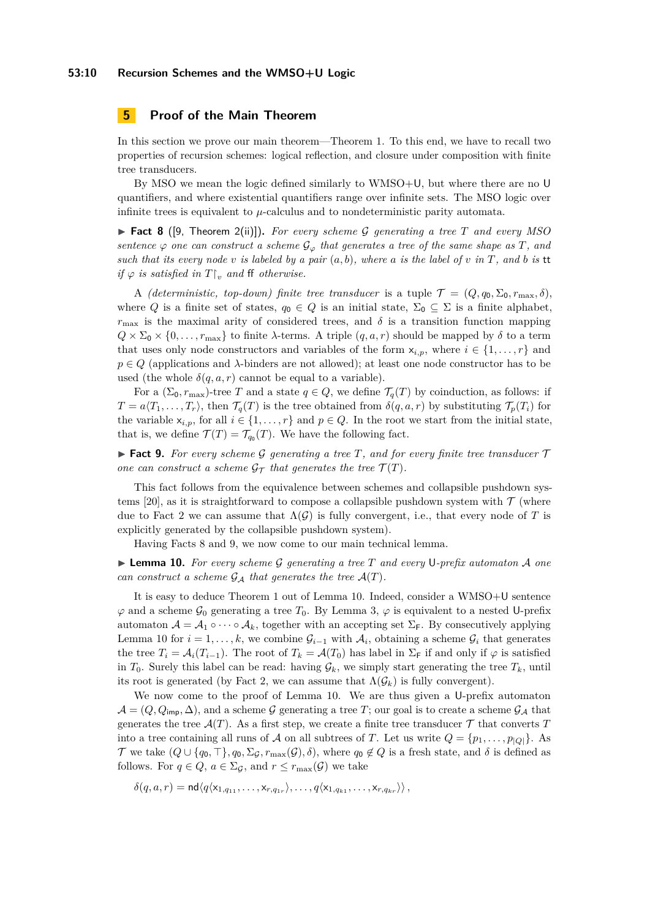## <span id="page-9-0"></span>**5 Proof of the Main Theorem**

In this section we prove our main theorem—Theorem [1.](#page-1-1) To this end, we have to recall two properties of recursion schemes: logical reflection, and closure under composition with finite tree transducers.

By MSO we mean the logic defined similarly to WMSO+U, but where there are no U quantifiers, and where existential quantifiers range over infinite sets. The MSO logic over infinite trees is equivalent to  $\mu$ -calculus and to nondeterministic parity automata.

<span id="page-9-1"></span>I **Fact 8** ([\[9,](#page-12-3) Theorem 2(ii)])**.** *For every scheme* G *generating a tree T and every MSO sentence*  $\varphi$  *one can construct a scheme*  $\mathcal{G}_{\varphi}$  *that generates a tree of the same shape as T, and such that its every node*  $v$  *is labeled by a pair*  $(a, b)$ *, where*  $a$  *is the label of*  $v$  *in*  $T$ *, and*  $b$  *is* tt *if*  $\varphi$  *is satisfied in*  $T\vert_v$  *and* ff *otherwise.* 

A *(deterministic, top-down) finite tree transducer* is a tuple  $\mathcal{T} = (Q, q_0, \Sigma_0, r_{\text{max}}, \delta)$ , where *Q* is a finite set of states,  $q_0 \in Q$  is an initial state,  $\Sigma_0 \subseteq \Sigma$  is a finite alphabet,  $r_{\text{max}}$  is the maximal arity of considered trees, and  $\delta$  is a transition function mapping  $Q \times \Sigma_0 \times \{0, \ldots, r_{\text{max}}\}$  to finite *λ*-terms. A triple  $(q, a, r)$  should be mapped by  $\delta$  to a term that uses only node constructors and variables of the form  $x_{i,p}$ , where  $i \in \{1, \ldots, r\}$  and  $p \in Q$  (applications and  $\lambda$ -binders are not allowed); at least one node constructor has to be used (the whole  $\delta(q, a, r)$  cannot be equal to a variable).

For a  $(\Sigma_0, r_{\max})$ -tree *T* and a state  $q \in Q$ , we define  $\mathcal{T}_q(T)$  by coinduction, as follows: if  $T = a\langle T_1, \ldots, T_r \rangle$ , then  $\mathcal{T}_q(T)$  is the tree obtained from  $\delta(q, a, r)$  by substituting  $\mathcal{T}_p(T_i)$  for the variable  $x_{i,p}$ , for all  $i \in \{1, \ldots, r\}$  and  $p \in Q$ . In the root we start from the initial state, that is, we define  $\mathcal{T}(T) = \mathcal{T}_{q_0}(T)$ . We have the following fact.

<span id="page-9-2"></span>**Fact 9.** For every scheme G generating a tree T, and for every finite tree transducer  $\mathcal{T}$ *one can construct a scheme*  $\mathcal{G}_{\mathcal{T}}$  *that generates the tree*  $\mathcal{T}(T)$ *.* 

This fact follows from the equivalence between schemes and collapsible pushdown sys-tems [\[20\]](#page-13-2), as it is straightforward to compose a collapsible pushdown system with  $\mathcal{T}$  (where due to Fact [2](#page-3-1) we can assume that  $\Lambda(G)$  is fully convergent, i.e., that every node of T is explicitly generated by the collapsible pushdown system).

Having Facts [8](#page-9-1) and [9,](#page-9-2) we now come to our main technical lemma.

<span id="page-9-3"></span>I **Lemma 10.** *For every scheme* G *generating a tree T and every* U*-prefix automaton* A *one can construct a scheme*  $G_A$  *that generates the tree*  $A(T)$ *.* 

It is easy to deduce Theorem [1](#page-1-1) out of Lemma [10.](#page-9-3) Indeed, consider a WMSO+U sentence  $\varphi$  and a scheme  $\mathcal{G}_0$  generating a tree  $T_0$ . By Lemma [3,](#page-4-0)  $\varphi$  is equivalent to a nested U-prefix automaton  $\mathcal{A} = \mathcal{A}_1 \circ \cdots \circ \mathcal{A}_k$ , together with an accepting set  $\Sigma_F$ . By consecutively applying Lemma [10](#page-9-3) for  $i = 1, \ldots, k$ , we combine  $\mathcal{G}_{i-1}$  with  $\mathcal{A}_i$ , obtaining a scheme  $\mathcal{G}_i$  that generates the tree  $T_i = A_i(T_{i-1})$ . The root of  $T_k = A(T_0)$  has label in  $\Sigma_F$  if and only if  $\varphi$  is satisfied in  $T_0$ . Surely this label can be read: having  $\mathcal{G}_k$ , we simply start generating the tree  $T_k$ , until its root is generated (by Fact [2,](#page-3-1) we can assume that  $\Lambda(\mathcal{G}_k)$  is fully convergent).

We now come to the proof of Lemma [10.](#page-9-3) We are thus given a U-prefix automaton  $\mathcal{A} = (Q, Q_{\text{imp}}, \Delta)$ , and a scheme G generating a tree T; our goal is to create a scheme  $\mathcal{G}_{\mathcal{A}}$  that generates the tree  $\mathcal{A}(T)$ . As a first step, we create a finite tree transducer  $\mathcal T$  that converts  $T$ into a tree containing all runs of A on all subtrees of T. Let us write  $Q = \{p_1, \ldots, p_{|Q|}\}\.$  As T we take  $(Q \cup \{q_0, \top\}, q_0, \Sigma_{\mathcal{G}}, r_{\max}(\mathcal{G}), \delta)$ , where  $q_0 \notin Q$  is a fresh state, and  $\delta$  is defined as follows. For  $q \in Q$ ,  $a \in \Sigma_{\mathcal{G}}$ , and  $r \leq r_{\max}(\mathcal{G})$  we take

$$
\delta(q, a, r) = \mathsf{nd}\langle q \langle x_{1,q_{11}}, \ldots, x_{r,q_{1r}} \rangle, \ldots, q \langle x_{1,q_{k1}}, \ldots, x_{r,q_{kr}} \rangle\rangle,
$$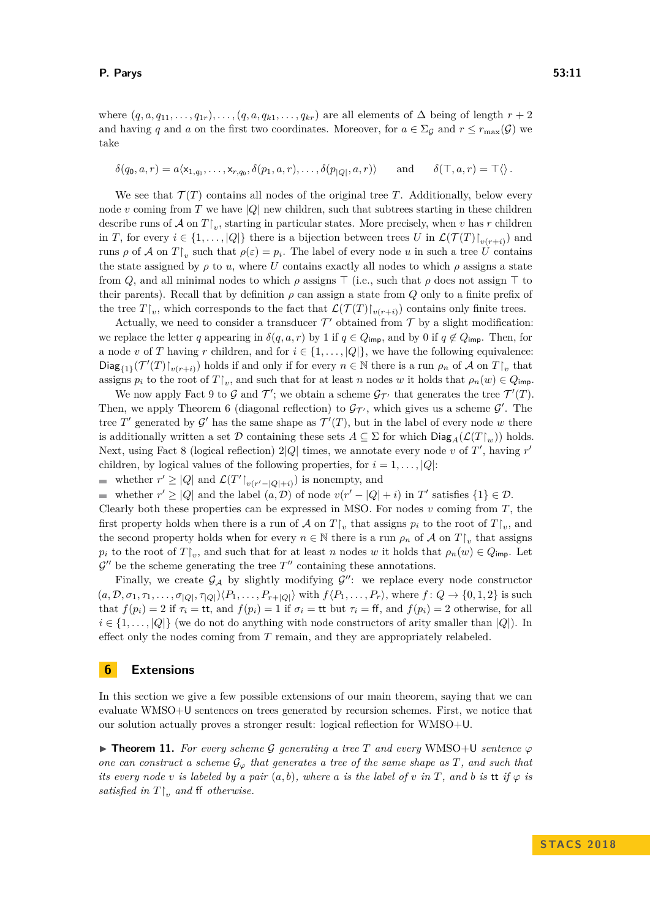take

where  $(q, a, q_{11}, \ldots, q_{1r}), \ldots, (q, a, q_{k1}, \ldots, q_{kr})$  are all elements of  $\Delta$  being of length  $r + 2$ and having *q* and *a* on the first two coordinates. Moreover, for  $a \in \Sigma_g$  and  $r \leq r_{\text{max}}(G)$  we

$$
\delta(q_0, a, r) = a \langle x_{1,q_0}, \dots, x_{r,q_0}, \delta(p_1, a, r), \dots, \delta(p_{|Q|}, a, r) \rangle \quad \text{and} \quad \delta(\top, a, r) = \top \langle \rangle.
$$

We see that  $\mathcal{T}(T)$  contains all nodes of the original tree T. Additionally, below every node *v* coming from *T* we have  $|Q|$  new children, such that subtrees starting in these children describe runs of  $\mathcal A$  on  $T|_v$ , starting in particular states. More precisely, when  $v$  has  $r$  children in *T*, for every  $i \in \{1, ..., |Q|\}$  there is a bijection between trees *U* in  $\mathcal{L}(\mathcal{T}(T)|_{v(r+i)})$  and runs  $\rho$  of  $\mathcal A$  on  $T\upharpoonright_v$  such that  $\rho(\varepsilon) = p_i$ . The label of every node *u* in such a tree  $\hat U$  contains the state assigned by  $\rho$  to *u*, where *U* contains exactly all nodes to which  $\rho$  assigns a state from *Q*, and all minimal nodes to which  $\rho$  assigns  $\top$  (i.e., such that  $\rho$  does not assign  $\top$  to their parents). Recall that by definition  $\rho$  can assign a state from  $Q$  only to a finite prefix of the tree  $T|_v$ , which corresponds to the fact that  $\mathcal{L}(\mathcal{T}(T)|_{v(r+i)})$  contains only finite trees.

Actually, we need to consider a transducer  $\mathcal{T}'$  obtained from  $\mathcal{T}$  by a slight modification: we replace the letter *q* appearing in  $\delta(q, a, r)$  by 1 if  $q \in Q_{\text{imp}}$ , and by 0 if  $q \notin Q_{\text{imp}}$ . Then, for a node *v* of *T* having *r* children, and for  $i \in \{1, \ldots, |Q|\}$ , we have the following equivalence:  $\text{Diag}_{\{1\}}(\mathcal{T}'(T)|_{v(r+i)})$  holds if and only if for every  $n \in \mathbb{N}$  there is a run  $\rho_n$  of A on  $T|_v$  that assigns  $p_i$  to the root of  $T\upharpoonright_v$ , and such that for at least *n* nodes *w* it holds that  $\rho_n(w) \in Q_{\text{imp}}$ .

We now apply Fact [9](#page-9-2) to G and  $\mathcal{T}'$ ; we obtain a scheme  $\mathcal{G}_{\mathcal{T}'}$  that generates the tree  $\mathcal{T}'(T)$ . Then, we apply Theorem [6](#page-7-0) (diagonal reflection) to  $\mathcal{G}_{\mathcal{T}}$ , which gives us a scheme  $\mathcal{G}'$ . The tree T' generated by  $\mathcal{G}'$  has the same shape as  $\mathcal{T}'(T)$ , but in the label of every node w there is additionally written a set  $\mathcal D$  containing these sets  $A \subseteq \Sigma$  for which  $\text{Diag}_A(\mathcal L(T\restriction_m))$  holds. Next, using Fact [8](#page-9-1) (logical reflection)  $2|Q|$  times, we annotate every node *v* of T', having r' children, by logical values of the following properties, for  $i = 1, \ldots, |Q|$ :

whether  $r' \geq |Q|$  and  $\mathcal{L}(T'|_{v(r'-|Q|+i)})$  is nonempty, and

whether  $r' \ge |Q|$  and the label  $(a, D)$  of node  $v(r' - |Q| + i)$  in  $T'$  satisfies  $\{1\} \in \mathcal{D}$ .

Clearly both these properties can be expressed in MSO. For nodes *v* coming from *T*, the first property holds when there is a run of  $\mathcal A$  on  $T\mathcal V_v$  that assigns  $p_i$  to the root of  $T\mathcal V_v$ , and the second property holds when for every  $n \in \mathbb{N}$  there is a run  $\rho_n$  of A on  $T\mathcal{L}_v$  that assigns *p*<sup>*i*</sup> to the root of  $T\vert_v$ , and such that for at least *n* nodes *w* it holds that  $\rho_n(w) \in Q_{\text{imp}}$ . Let  $\mathcal{G}''$  be the scheme generating the tree  $T''$  containing these annotations.

Finally, we create  $\mathcal{G}_{\mathcal{A}}$  by slightly modifying  $\mathcal{G}''$ : we replace every node constructor  $(a, \mathcal{D}, \sigma_1, \tau_1, \ldots, \sigma_{|Q|}, \tau_{|Q|}) \langle P_1, \ldots, P_{r+|Q|} \rangle$  with  $f \langle P_1, \ldots, P_r \rangle$ , where  $f: Q \to \{0, 1, 2\}$  is such that  $f(p_i) = 2$  if  $\tau_i = \text{tt}$ , and  $f(p_i) = 1$  if  $\sigma_i = \text{tt}$  but  $\tau_i = \text{ff}$ , and  $f(p_i) = 2$  otherwise, for all  $i \in \{1, \ldots, |Q|\}$  (we do not do anything with node constructors of arity smaller than  $|Q|$ ). In effect only the nodes coming from *T* remain, and they are appropriately relabeled.

## <span id="page-10-0"></span>**6 Extensions**

In this section we give a few possible extensions of our main theorem, saying that we can evaluate WMSO+U sentences on trees generated by recursion schemes. First, we notice that our solution actually proves a stronger result: logical reflection for WMSO+U.

<span id="page-10-1"></span>**Find Theorem 11.** For every scheme G generating a tree T and every WMSO+U sentence  $\varphi$ *one can construct a scheme*  $\mathcal{G}_{\varphi}$  *that generates a tree of the same shape as T*, and such that *its every node*  $v$  *is labeled by a pair*  $(a, b)$ *, where*  $a$  *is the label of*  $v$  *in*  $T$ *, and*  $b$  *is* tt *if*  $\varphi$  *is satisfied in*  $T|_v$  *and* ff *otherwise.*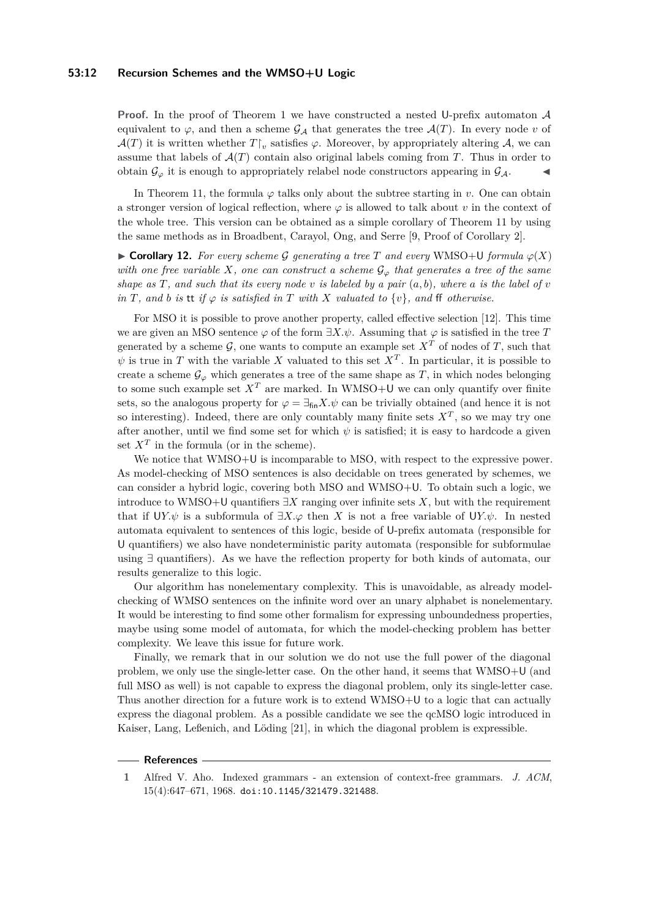#### **53:12 Recursion Schemes and the WMSO+U Logic**

**Proof.** In the proof of Theorem [1](#page-1-1) we have constructed a nested U-prefix automaton  $A$ equivalent to  $\varphi$ , and then a scheme  $\mathcal{G}_{\mathcal{A}}$  that generates the tree  $\mathcal{A}(T)$ . In every node *v* of  $\mathcal{A}(T)$  it is written whether  $T\upharpoonright_v$  satisfies  $\varphi$ . Moreover, by appropriately altering  $\mathcal{A}$ , we can assume that labels of  $\mathcal{A}(T)$  contain also original labels coming from T. Thus in order to obtain  $\mathcal{G}_{\varphi}$  it is enough to appropriately relabel node constructors appearing in  $\mathcal{G}_{\mathcal{A}}$ .

In Theorem [11,](#page-10-1) the formula  $\varphi$  talks only about the subtree starting in *v*. One can obtain a stronger version of logical reflection, where  $\varphi$  is allowed to talk about *v* in the context of the whole tree. This version can be obtained as a simple corollary of Theorem [11](#page-10-1) by using the same methods as in Broadbent, Carayol, Ong, and Serre [\[9,](#page-12-3) Proof of Corollary 2].

 $\triangleright$  **Corollary 12.** For every scheme G generating a tree T and every WMSO+U formula  $\varphi(X)$ *with one free variable X, one can construct a scheme*  $\mathcal{G}_{\varphi}$  *that generates a tree of the same shape as*  $T$ *, and such that its every node*  $v$  *is labeled by a pair*  $(a, b)$ *, where*  $a$  *is the label of*  $v$ *in T, and b is* tt *if*  $\varphi$  *is satisfied in T with X valuated to*  $\{v\}$ *, and* ff *otherwise.* 

For MSO it is possible to prove another property, called effective selection [\[12\]](#page-12-4). This time we are given an MSO sentence  $\varphi$  of the form  $\exists X.\psi$ . Assuming that  $\varphi$  is satisfied in the tree *T* generated by a scheme  $\mathcal{G}$ , one wants to compute an example set  $X^T$  of nodes of  $T$ , such that  $\psi$  is true in *T* with the variable *X* valuated to this set  $X<sup>T</sup>$ . In particular, it is possible to create a scheme  $\mathcal{G}_{\varphi}$  which generates a tree of the same shape as *T*, in which nodes belonging to some such example set  $X<sup>T</sup>$  are marked. In WMSO+U we can only quantify over finite sets, so the analogous property for  $\varphi = \exists_{fin} X.\psi$  can be trivially obtained (and hence it is not so interesting). Indeed, there are only countably many finite sets  $X<sup>T</sup>$ , so we may try one after another, until we find some set for which  $\psi$  is satisfied; it is easy to hardcode a given set  $X^T$  in the formula (or in the scheme).

We notice that WMSO+U is incomparable to MSO, with respect to the expressive power. As model-checking of MSO sentences is also decidable on trees generated by schemes, we can consider a hybrid logic, covering both MSO and WMSO+U. To obtain such a logic, we introduce to WMSO+U quantifiers ∃*X* ranging over infinite sets *X*, but with the requirement that if U*Y.* $\psi$  is a subformula of  $\exists X.\varphi$  then *X* is not a free variable of U*Y.* $\psi$ . In nested automata equivalent to sentences of this logic, beside of U-prefix automata (responsible for U quantifiers) we also have nondeterministic parity automata (responsible for subformulae using ∃ quantifiers). As we have the reflection property for both kinds of automata, our results generalize to this logic.

Our algorithm has nonelementary complexity. This is unavoidable, as already modelchecking of WMSO sentences on the infinite word over an unary alphabet is nonelementary. It would be interesting to find some other formalism for expressing unboundedness properties, maybe using some model of automata, for which the model-checking problem has better complexity. We leave this issue for future work.

Finally, we remark that in our solution we do not use the full power of the diagonal problem, we only use the single-letter case. On the other hand, it seems that WMSO+U (and full MSO as well) is not capable to express the diagonal problem, only its single-letter case. Thus another direction for a future work is to extend WMSO+U to a logic that can actually express the diagonal problem. As a possible candidate we see the qcMSO logic introduced in Kaiser, Lang, Leßenich, and Löding [\[21\]](#page-13-9), in which the diagonal problem is expressible.

#### **References**

<span id="page-11-0"></span>**1** Alfred V. Aho. Indexed grammars - an extension of context-free grammars. *J. ACM*, 15(4):647–671, 1968. [doi:10.1145/321479.321488](http://dx.doi.org/10.1145/321479.321488).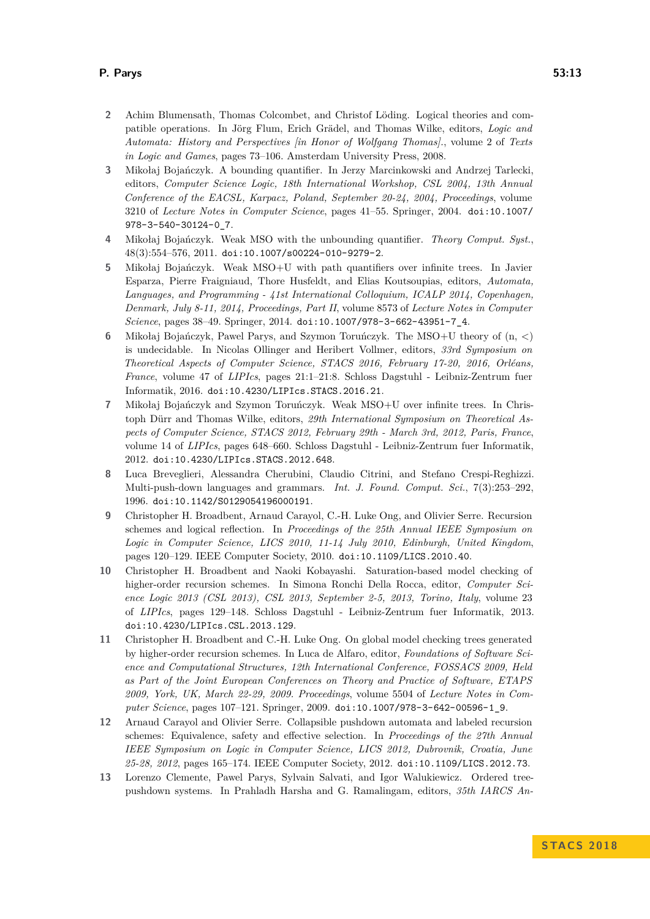- <span id="page-12-10"></span>**2** Achim Blumensath, Thomas Colcombet, and Christof Löding. Logical theories and compatible operations. In Jörg Flum, Erich Grädel, and Thomas Wilke, editors, *Logic and Automata: History and Perspectives [in Honor of Wolfgang Thomas].*, volume 2 of *Texts in Logic and Games*, pages 73–106. Amsterdam University Press, 2008.
- <span id="page-12-6"></span>**3** Mikołaj Bojańczyk. A bounding quantifier. In Jerzy Marcinkowski and Andrzej Tarlecki, editors, *Computer Science Logic, 18th International Workshop, CSL 2004, 13th Annual Conference of the EACSL, Karpacz, Poland, September 20-24, 2004, Proceedings*, volume 3210 of *Lecture Notes in Computer Science*, pages 41–55. Springer, 2004. [doi:10.1007/](http://dx.doi.org/10.1007/978-3-540-30124-0_7) [978-3-540-30124-0\\_7](http://dx.doi.org/10.1007/978-3-540-30124-0_7).
- <span id="page-12-7"></span>**4** Mikołaj Bojańczyk. Weak MSO with the unbounding quantifier. *Theory Comput. Syst.*, 48(3):554–576, 2011. [doi:10.1007/s00224-010-9279-2](http://dx.doi.org/10.1007/s00224-010-9279-2).
- <span id="page-12-9"></span>**5** Mikołaj Bojańczyk. Weak MSO+U with path quantifiers over infinite trees. In Javier Esparza, Pierre Fraigniaud, Thore Husfeldt, and Elias Koutsoupias, editors, *Automata, Languages, and Programming - 41st International Colloquium, ICALP 2014, Copenhagen, Denmark, July 8-11, 2014, Proceedings, Part II*, volume 8573 of *Lecture Notes in Computer Science*, pages 38–49. Springer, 2014. [doi:10.1007/978-3-662-43951-7\\_4](http://dx.doi.org/10.1007/978-3-662-43951-7_4).
- <span id="page-12-11"></span>**6** Mikołaj Bojańczyk, Pawel Parys, and Szymon Toruńczyk. The MSO+U theory of (n, <) is undecidable. In Nicolas Ollinger and Heribert Vollmer, editors, *33rd Symposium on Theoretical Aspects of Computer Science, STACS 2016, February 17-20, 2016, Orléans, France*, volume 47 of *LIPIcs*, pages 21:1–21:8. Schloss Dagstuhl - Leibniz-Zentrum fuer Informatik, 2016. [doi:10.4230/LIPIcs.STACS.2016.21](http://dx.doi.org/10.4230/LIPIcs.STACS.2016.21).
- <span id="page-12-8"></span>**7** Mikołaj Bojańczyk and Szymon Toruńczyk. Weak MSO+U over infinite trees. In Christoph Dürr and Thomas Wilke, editors, *29th International Symposium on Theoretical Aspects of Computer Science, STACS 2012, February 29th - March 3rd, 2012, Paris, France*, volume 14 of *LIPIcs*, pages 648–660. Schloss Dagstuhl - Leibniz-Zentrum fuer Informatik, 2012. [doi:10.4230/LIPIcs.STACS.2012.648](http://dx.doi.org/10.4230/LIPIcs.STACS.2012.648).
- <span id="page-12-1"></span>**8** Luca Breveglieri, Alessandra Cherubini, Claudio Citrini, and Stefano Crespi-Reghizzi. Multi-push-down languages and grammars. *Int. J. Found. Comput. Sci.*, 7(3):253–292, 1996. [doi:10.1142/S0129054196000191](http://dx.doi.org/10.1142/S0129054196000191).
- <span id="page-12-3"></span>**9** Christopher H. Broadbent, Arnaud Carayol, C.-H. Luke Ong, and Olivier Serre. Recursion schemes and logical reflection. In *Proceedings of the 25th Annual IEEE Symposium on Logic in Computer Science, LICS 2010, 11-14 July 2010, Edinburgh, United Kingdom*, pages 120–129. IEEE Computer Society, 2010. [doi:10.1109/LICS.2010.40](http://dx.doi.org/10.1109/LICS.2010.40).
- <span id="page-12-5"></span>**10** Christopher H. Broadbent and Naoki Kobayashi. Saturation-based model checking of higher-order recursion schemes. In Simona Ronchi Della Rocca, editor, *Computer Science Logic 2013 (CSL 2013), CSL 2013, September 2-5, 2013, Torino, Italy*, volume 23 of *LIPIcs*, pages 129–148. Schloss Dagstuhl - Leibniz-Zentrum fuer Informatik, 2013. [doi:10.4230/LIPIcs.CSL.2013.129](http://dx.doi.org/10.4230/LIPIcs.CSL.2013.129).
- <span id="page-12-2"></span>**11** Christopher H. Broadbent and C.-H. Luke Ong. On global model checking trees generated by higher-order recursion schemes. In Luca de Alfaro, editor, *Foundations of Software Science and Computational Structures, 12th International Conference, FOSSACS 2009, Held as Part of the Joint European Conferences on Theory and Practice of Software, ETAPS 2009, York, UK, March 22-29, 2009. Proceedings*, volume 5504 of *Lecture Notes in Computer Science*, pages 107–121. Springer, 2009. [doi:10.1007/978-3-642-00596-1\\_9](http://dx.doi.org/10.1007/978-3-642-00596-1_9).
- <span id="page-12-4"></span>**12** Arnaud Carayol and Olivier Serre. Collapsible pushdown automata and labeled recursion schemes: Equivalence, safety and effective selection. In *Proceedings of the 27th Annual IEEE Symposium on Logic in Computer Science, LICS 2012, Dubrovnik, Croatia, June 25-28, 2012*, pages 165–174. IEEE Computer Society, 2012. [doi:10.1109/LICS.2012.73](http://dx.doi.org/10.1109/LICS.2012.73).
- <span id="page-12-0"></span>**13** Lorenzo Clemente, Pawel Parys, Sylvain Salvati, and Igor Walukiewicz. Ordered treepushdown systems. In Prahladh Harsha and G. Ramalingam, editors, *35th IARCS An-*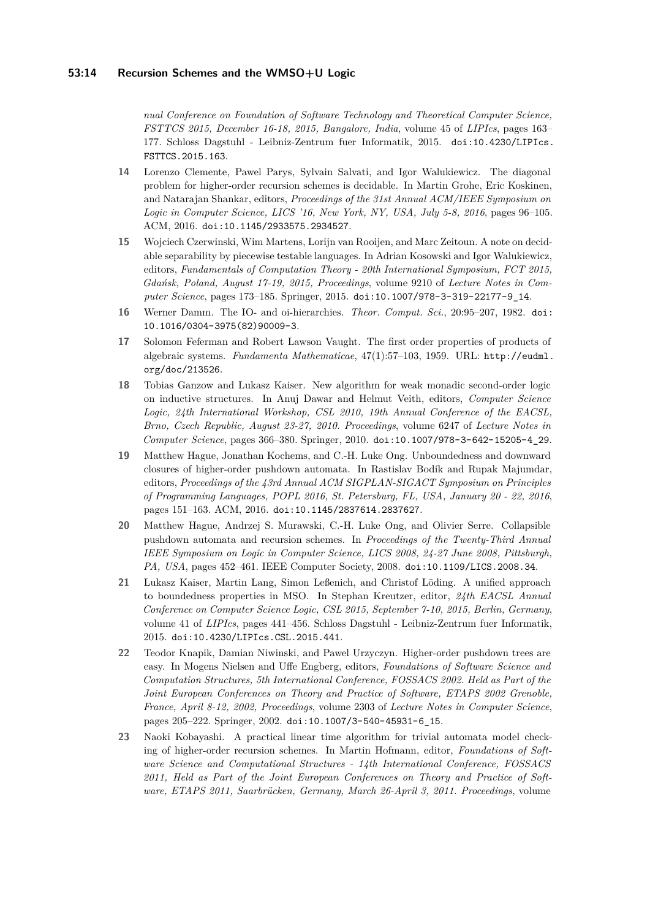*nual Conference on Foundation of Software Technology and Theoretical Computer Science, FSTTCS 2015, December 16-18, 2015, Bangalore, India*, volume 45 of *LIPIcs*, pages 163– 177. Schloss Dagstuhl - Leibniz-Zentrum fuer Informatik, 2015. [doi:10.4230/LIPIcs.](http://dx.doi.org/10.4230/LIPIcs.FSTTCS.2015.163) [FSTTCS.2015.163](http://dx.doi.org/10.4230/LIPIcs.FSTTCS.2015.163).

- <span id="page-13-5"></span>**14** Lorenzo Clemente, Pawel Parys, Sylvain Salvati, and Igor Walukiewicz. The diagonal problem for higher-order recursion schemes is decidable. In Martin Grohe, Eric Koskinen, and Natarajan Shankar, editors, *Proceedings of the 31st Annual ACM/IEEE Symposium on Logic in Computer Science, LICS '16, New York, NY, USA, July 5-8, 2016*, pages 96–105. ACM, 2016. [doi:10.1145/2933575.2934527](http://dx.doi.org/10.1145/2933575.2934527).
- <span id="page-13-6"></span>**15** Wojciech Czerwinski, Wim Martens, Lorijn van Rooijen, and Marc Zeitoun. A note on decidable separability by piecewise testable languages. In Adrian Kosowski and Igor Walukiewicz, editors, *Fundamentals of Computation Theory - 20th International Symposium, FCT 2015, Gdańsk, Poland, August 17-19, 2015, Proceedings*, volume 9210 of *Lecture Notes in Computer Science*, pages 173–185. Springer, 2015. [doi:10.1007/978-3-319-22177-9\\_14](http://dx.doi.org/10.1007/978-3-319-22177-9_14).
- <span id="page-13-0"></span>**16** Werner Damm. The IO- and oi-hierarchies. *Theor. Comput. Sci.*, 20:95–207, 1982. [doi:](http://dx.doi.org/10.1016/0304-3975(82)90009-3) [10.1016/0304-3975\(82\)90009-3](http://dx.doi.org/10.1016/0304-3975(82)90009-3).
- <span id="page-13-8"></span>**17** Solomon Feferman and Robert Lawson Vaught. The first order properties of products of algebraic systems. *Fundamenta Mathematicae*, 47(1):57–103, 1959. URL: [http://eudml.](http://eudml.org/doc/213526) [org/doc/213526](http://eudml.org/doc/213526).
- <span id="page-13-7"></span>**18** Tobias Ganzow and Lukasz Kaiser. New algorithm for weak monadic second-order logic on inductive structures. In Anuj Dawar and Helmut Veith, editors, *Computer Science Logic, 24th International Workshop, CSL 2010, 19th Annual Conference of the EACSL, Brno, Czech Republic, August 23-27, 2010. Proceedings*, volume 6247 of *Lecture Notes in Computer Science*, pages 366–380. Springer, 2010. [doi:10.1007/978-3-642-15205-4\\_29](http://dx.doi.org/10.1007/978-3-642-15205-4_29).
- <span id="page-13-4"></span>**19** Matthew Hague, Jonathan Kochems, and C.-H. Luke Ong. Unboundedness and downward closures of higher-order pushdown automata. In Rastislav Bodík and Rupak Majumdar, editors, *Proceedings of the 43rd Annual ACM SIGPLAN-SIGACT Symposium on Principles of Programming Languages, POPL 2016, St. Petersburg, FL, USA, January 20 - 22, 2016*, pages 151–163. ACM, 2016. [doi:10.1145/2837614.2837627](http://dx.doi.org/10.1145/2837614.2837627).
- <span id="page-13-2"></span>**20** Matthew Hague, Andrzej S. Murawski, C.-H. Luke Ong, and Olivier Serre. Collapsible pushdown automata and recursion schemes. In *Proceedings of the Twenty-Third Annual IEEE Symposium on Logic in Computer Science, LICS 2008, 24-27 June 2008, Pittsburgh, PA, USA*, pages 452–461. IEEE Computer Society, 2008. [doi:10.1109/LICS.2008.34](http://dx.doi.org/10.1109/LICS.2008.34).
- <span id="page-13-9"></span>**21** Lukasz Kaiser, Martin Lang, Simon Leßenich, and Christof Löding. A unified approach to boundedness properties in MSO. In Stephan Kreutzer, editor, *24th EACSL Annual Conference on Computer Science Logic, CSL 2015, September 7-10, 2015, Berlin, Germany*, volume 41 of *LIPIcs*, pages 441–456. Schloss Dagstuhl - Leibniz-Zentrum fuer Informatik, 2015. [doi:10.4230/LIPIcs.CSL.2015.441](http://dx.doi.org/10.4230/LIPIcs.CSL.2015.441).
- <span id="page-13-1"></span>**22** Teodor Knapik, Damian Niwinski, and Pawel Urzyczyn. Higher-order pushdown trees are easy. In Mogens Nielsen and Uffe Engberg, editors, *Foundations of Software Science and Computation Structures, 5th International Conference, FOSSACS 2002. Held as Part of the Joint European Conferences on Theory and Practice of Software, ETAPS 2002 Grenoble, France, April 8-12, 2002, Proceedings*, volume 2303 of *Lecture Notes in Computer Science*, pages 205–222. Springer, 2002. [doi:10.1007/3-540-45931-6\\_15](http://dx.doi.org/10.1007/3-540-45931-6_15).
- <span id="page-13-3"></span>**23** Naoki Kobayashi. A practical linear time algorithm for trivial automata model checking of higher-order recursion schemes. In Martin Hofmann, editor, *Foundations of Software Science and Computational Structures - 14th International Conference, FOSSACS 2011, Held as Part of the Joint European Conferences on Theory and Practice of Software, ETAPS 2011, Saarbrücken, Germany, March 26-April 3, 2011. Proceedings*, volume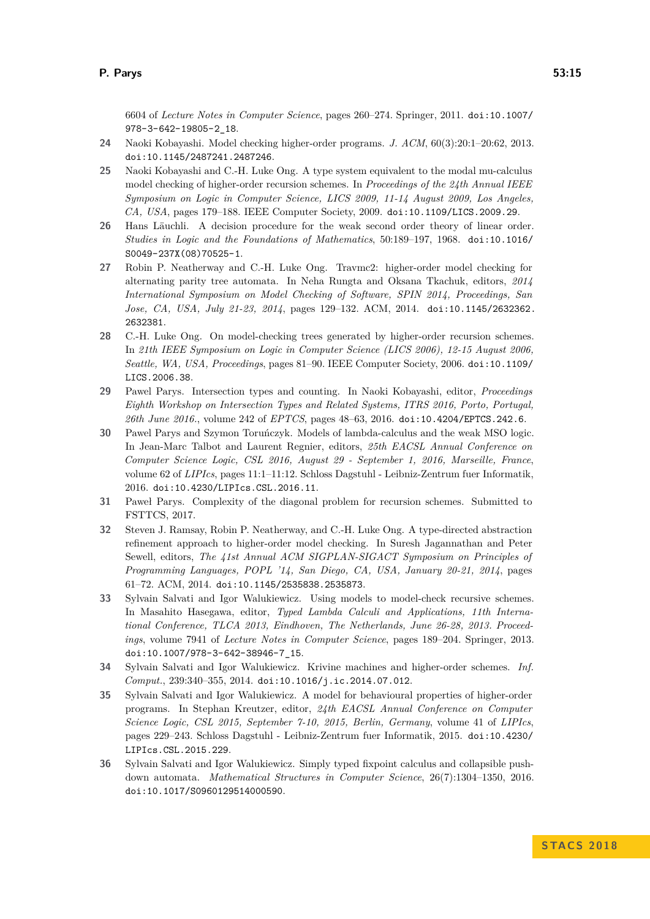6604 of *Lecture Notes in Computer Science*, pages 260–274. Springer, 2011. [doi:10.1007/](http://dx.doi.org/10.1007/978-3-642-19805-2_18) [978-3-642-19805-2\\_18](http://dx.doi.org/10.1007/978-3-642-19805-2_18).

- <span id="page-14-1"></span>**24** Naoki Kobayashi. Model checking higher-order programs. *J. ACM*, 60(3):20:1–20:62, 2013. [doi:10.1145/2487241.2487246](http://dx.doi.org/10.1145/2487241.2487246).
- <span id="page-14-3"></span>**25** Naoki Kobayashi and C.-H. Luke Ong. A type system equivalent to the modal mu-calculus model checking of higher-order recursion schemes. In *Proceedings of the 24th Annual IEEE Symposium on Logic in Computer Science, LICS 2009, 11-14 August 2009, Los Angeles, CA, USA*, pages 179–188. IEEE Computer Society, 2009. [doi:10.1109/LICS.2009.29](http://dx.doi.org/10.1109/LICS.2009.29).
- <span id="page-14-9"></span>**26** Hans Läuchli. A decision procedure for the weak second order theory of linear order. *Studies in Logic and the Foundations of Mathematics*, 50:189–197, 1968. [doi:10.1016/](http://dx.doi.org/10.1016/S0049-237X(08)70525-1) [S0049-237X\(08\)70525-1](http://dx.doi.org/10.1016/S0049-237X(08)70525-1).
- <span id="page-14-7"></span>**27** Robin P. Neatherway and C.-H. Luke Ong. Travmc2: higher-order model checking for alternating parity tree automata. In Neha Rungta and Oksana Tkachuk, editors, *2014 International Symposium on Model Checking of Software, SPIN 2014, Proceedings, San Jose, CA, USA, July 21-23, 2014*, pages 129–132. ACM, 2014. [doi:10.1145/2632362.](http://dx.doi.org/10.1145/2632362.2632381) [2632381](http://dx.doi.org/10.1145/2632362.2632381).
- <span id="page-14-0"></span>**28** C.-H. Luke Ong. On model-checking trees generated by higher-order recursion schemes. In *21th IEEE Symposium on Logic in Computer Science (LICS 2006), 12-15 August 2006, Seattle, WA, USA, Proceedings*, pages 81–90. IEEE Computer Society, 2006. [doi:10.1109/](http://dx.doi.org/10.1109/LICS.2006.38) [LICS.2006.38](http://dx.doi.org/10.1109/LICS.2006.38).
- <span id="page-14-11"></span>**29** Pawel Parys. Intersection types and counting. In Naoki Kobayashi, editor, *Proceedings Eighth Workshop on Intersection Types and Related Systems, ITRS 2016, Porto, Portugal, 26th June 2016.*, volume 242 of *EPTCS*, pages 48–63, 2016. [doi:10.4204/EPTCS.242.6](http://dx.doi.org/10.4204/EPTCS.242.6).
- <span id="page-14-10"></span>**30** Pawel Parys and Szymon Toruńczyk. Models of lambda-calculus and the weak MSO logic. In Jean-Marc Talbot and Laurent Regnier, editors, *25th EACSL Annual Conference on Computer Science Logic, CSL 2016, August 29 - September 1, 2016, Marseille, France*, volume 62 of *LIPIcs*, pages 11:1–11:12. Schloss Dagstuhl - Leibniz-Zentrum fuer Informatik, 2016. [doi:10.4230/LIPIcs.CSL.2016.11](http://dx.doi.org/10.4230/LIPIcs.CSL.2016.11).
- <span id="page-14-8"></span>**31** Paweł Parys. Complexity of the diagonal problem for recursion schemes. Submitted to FSTTCS, 2017.
- <span id="page-14-6"></span>**32** Steven J. Ramsay, Robin P. Neatherway, and C.-H. Luke Ong. A type-directed abstraction refinement approach to higher-order model checking. In Suresh Jagannathan and Peter Sewell, editors, *The 41st Annual ACM SIGPLAN-SIGACT Symposium on Principles of Programming Languages, POPL '14, San Diego, CA, USA, January 20-21, 2014*, pages 61–72. ACM, 2014. [doi:10.1145/2535838.2535873](http://dx.doi.org/10.1145/2535838.2535873).
- <span id="page-14-12"></span>**33** Sylvain Salvati and Igor Walukiewicz. Using models to model-check recursive schemes. In Masahito Hasegawa, editor, *Typed Lambda Calculi and Applications, 11th International Conference, TLCA 2013, Eindhoven, The Netherlands, June 26-28, 2013. Proceedings*, volume 7941 of *Lecture Notes in Computer Science*, pages 189–204. Springer, 2013. [doi:10.1007/978-3-642-38946-7\\_15](http://dx.doi.org/10.1007/978-3-642-38946-7_15).
- <span id="page-14-4"></span>**34** Sylvain Salvati and Igor Walukiewicz. Krivine machines and higher-order schemes. *Inf. Comput.*, 239:340–355, 2014. [doi:10.1016/j.ic.2014.07.012](http://dx.doi.org/10.1016/j.ic.2014.07.012).
- <span id="page-14-5"></span>**35** Sylvain Salvati and Igor Walukiewicz. A model for behavioural properties of higher-order programs. In Stephan Kreutzer, editor, *24th EACSL Annual Conference on Computer Science Logic, CSL 2015, September 7-10, 2015, Berlin, Germany*, volume 41 of *LIPIcs*, pages 229–243. Schloss Dagstuhl - Leibniz-Zentrum fuer Informatik, 2015. [doi:10.4230/](http://dx.doi.org/10.4230/LIPIcs.CSL.2015.229) [LIPIcs.CSL.2015.229](http://dx.doi.org/10.4230/LIPIcs.CSL.2015.229).
- <span id="page-14-2"></span>**36** Sylvain Salvati and Igor Walukiewicz. Simply typed fixpoint calculus and collapsible pushdown automata. *Mathematical Structures in Computer Science*, 26(7):1304–1350, 2016. [doi:10.1017/S0960129514000590](http://dx.doi.org/10.1017/S0960129514000590).